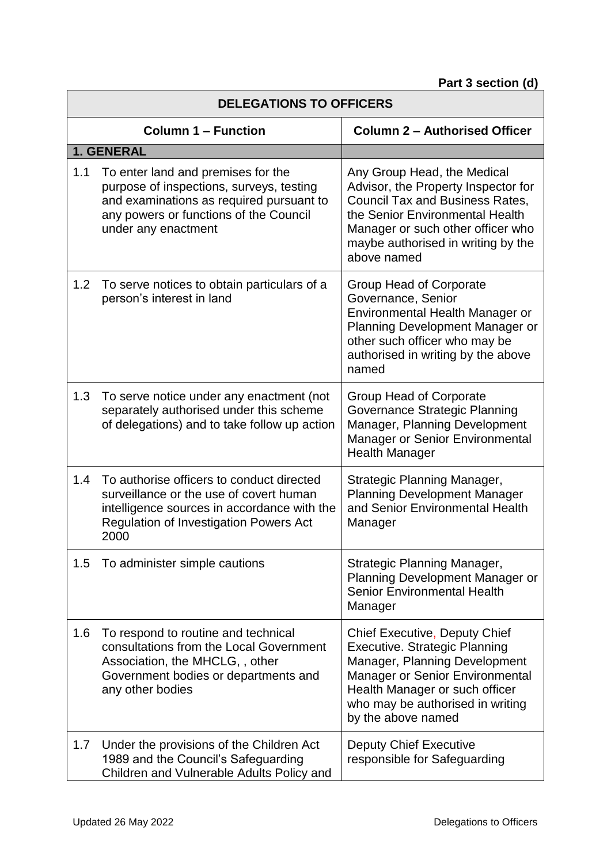| <b>DELEGATIONS TO OFFICERS</b> |                                                                                                                                                                                              |                                                                                                                                                                                                                                              |
|--------------------------------|----------------------------------------------------------------------------------------------------------------------------------------------------------------------------------------------|----------------------------------------------------------------------------------------------------------------------------------------------------------------------------------------------------------------------------------------------|
| <b>Column 1 - Function</b>     |                                                                                                                                                                                              | <b>Column 2 - Authorised Officer</b>                                                                                                                                                                                                         |
|                                | 1. GENERAL                                                                                                                                                                                   |                                                                                                                                                                                                                                              |
| 1.1                            | To enter land and premises for the<br>purpose of inspections, surveys, testing<br>and examinations as required pursuant to<br>any powers or functions of the Council<br>under any enactment  | Any Group Head, the Medical<br>Advisor, the Property Inspector for<br><b>Council Tax and Business Rates,</b><br>the Senior Environmental Health<br>Manager or such other officer who<br>maybe authorised in writing by the<br>above named    |
| 1.2                            | To serve notices to obtain particulars of a<br>person's interest in land                                                                                                                     | Group Head of Corporate<br>Governance, Senior<br>Environmental Health Manager or<br>Planning Development Manager or<br>other such officer who may be<br>authorised in writing by the above<br>named                                          |
| 1.3                            | To serve notice under any enactment (not<br>separately authorised under this scheme<br>of delegations) and to take follow up action                                                          | Group Head of Corporate<br><b>Governance Strategic Planning</b><br>Manager, Planning Development<br>Manager or Senior Environmental<br><b>Health Manager</b>                                                                                 |
| 1.4                            | To authorise officers to conduct directed<br>surveillance or the use of covert human<br>intelligence sources in accordance with the<br><b>Regulation of Investigation Powers Act</b><br>2000 | Strategic Planning Manager,<br><b>Planning Development Manager</b><br>and Senior Environmental Health<br>Manager                                                                                                                             |
| 1.5                            | To administer simple cautions                                                                                                                                                                | <b>Strategic Planning Manager,</b><br>Planning Development Manager or<br><b>Senior Environmental Health</b><br>Manager                                                                                                                       |
| 1.6                            | To respond to routine and technical<br>consultations from the Local Government<br>Association, the MHCLG, , other<br>Government bodies or departments and<br>any other bodies                | <b>Chief Executive, Deputy Chief</b><br><b>Executive. Strategic Planning</b><br>Manager, Planning Development<br>Manager or Senior Environmental<br>Health Manager or such officer<br>who may be authorised in writing<br>by the above named |
| 1.7                            | Under the provisions of the Children Act<br>1989 and the Council's Safeguarding<br>Children and Vulnerable Adults Policy and                                                                 | <b>Deputy Chief Executive</b><br>responsible for Safeguarding                                                                                                                                                                                |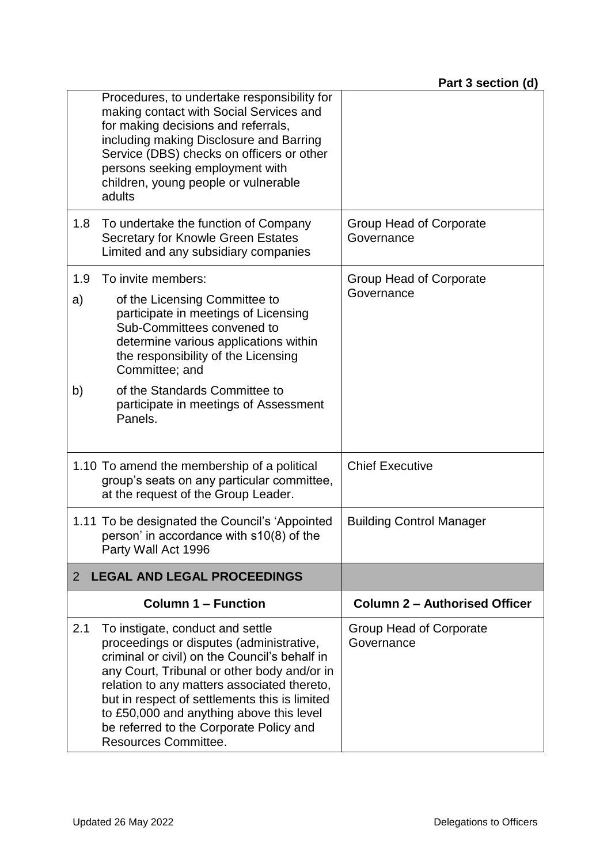|                 | Procedures, to undertake responsibility for<br>making contact with Social Services and<br>for making decisions and referrals,<br>including making Disclosure and Barring<br>Service (DBS) checks on officers or other<br>persons seeking employment with<br>children, young people or vulnerable<br>adults       |                                              |
|-----------------|------------------------------------------------------------------------------------------------------------------------------------------------------------------------------------------------------------------------------------------------------------------------------------------------------------------|----------------------------------------------|
| 1.8             | To undertake the function of Company<br>Secretary for Knowle Green Estates<br>Limited and any subsidiary companies                                                                                                                                                                                               | <b>Group Head of Corporate</b><br>Governance |
| 1.9<br>a)<br>b) | To invite members:<br>of the Licensing Committee to<br>participate in meetings of Licensing<br>Sub-Committees convened to<br>determine various applications within<br>the responsibility of the Licensing<br>Committee; and<br>of the Standards Committee to<br>participate in meetings of Assessment<br>Panels. | Group Head of Corporate<br>Governance        |
|                 | 1.10 To amend the membership of a political<br>group's seats on any particular committee,<br>at the request of the Group Leader.                                                                                                                                                                                 | <b>Chief Executive</b>                       |
|                 |                                                                                                                                                                                                                                                                                                                  |                                              |
|                 | 1.11 To be designated the Council's 'Appointed<br>person' in accordance with s10(8) of the<br>Party Wall Act 1996                                                                                                                                                                                                | <b>Building Control Manager</b>              |
| $\overline{2}$  | <b>LEGAL AND LEGAL PROCEEDINGS</b>                                                                                                                                                                                                                                                                               |                                              |
|                 | <b>Column 1 - Function</b>                                                                                                                                                                                                                                                                                       | <b>Column 2 - Authorised Officer</b>         |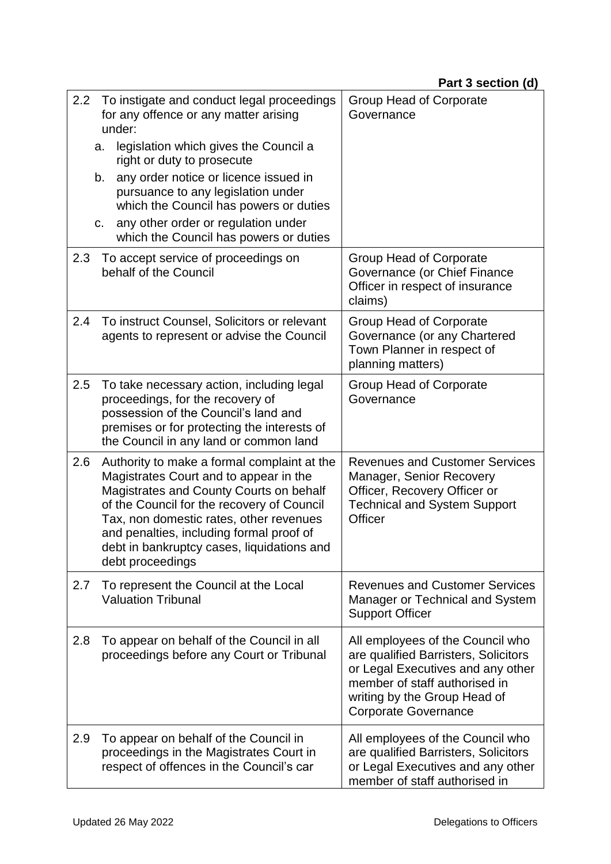| $2.2\overline{ }$ | To instigate and conduct legal proceedings<br>for any offence or any matter arising<br>under:                                                                                                                                                                                                                                           | <b>Group Head of Corporate</b><br>Governance                                                                                                                                                                  |
|-------------------|-----------------------------------------------------------------------------------------------------------------------------------------------------------------------------------------------------------------------------------------------------------------------------------------------------------------------------------------|---------------------------------------------------------------------------------------------------------------------------------------------------------------------------------------------------------------|
|                   | legislation which gives the Council a<br>a.<br>right or duty to prosecute                                                                                                                                                                                                                                                               |                                                                                                                                                                                                               |
|                   | any order notice or licence issued in<br>b.<br>pursuance to any legislation under<br>which the Council has powers or duties                                                                                                                                                                                                             |                                                                                                                                                                                                               |
|                   | any other order or regulation under<br>C.<br>which the Council has powers or duties                                                                                                                                                                                                                                                     |                                                                                                                                                                                                               |
| $2.3\phantom{0}$  | To accept service of proceedings on<br>behalf of the Council                                                                                                                                                                                                                                                                            | Group Head of Corporate<br>Governance (or Chief Finance<br>Officer in respect of insurance<br>claims)                                                                                                         |
| 2.4               | To instruct Counsel, Solicitors or relevant<br>agents to represent or advise the Council                                                                                                                                                                                                                                                | Group Head of Corporate<br>Governance (or any Chartered<br>Town Planner in respect of<br>planning matters)                                                                                                    |
| 2.5               | To take necessary action, including legal<br>proceedings, for the recovery of<br>possession of the Council's land and<br>premises or for protecting the interests of<br>the Council in any land or common land                                                                                                                          | Group Head of Corporate<br>Governance                                                                                                                                                                         |
| 2.6               | Authority to make a formal complaint at the<br>Magistrates Court and to appear in the<br>Magistrates and County Courts on behalf<br>of the Council for the recovery of Council<br>Tax, non domestic rates, other revenues<br>and penalties, including formal proof of<br>debt in bankruptcy cases, liquidations and<br>debt proceedings | <b>Revenues and Customer Services</b><br>Manager, Senior Recovery<br>Officer, Recovery Officer or<br><b>Technical and System Support</b><br><b>Officer</b>                                                    |
| 2.7               | To represent the Council at the Local<br><b>Valuation Tribunal</b>                                                                                                                                                                                                                                                                      | <b>Revenues and Customer Services</b><br>Manager or Technical and System<br><b>Support Officer</b>                                                                                                            |
| 2.8               | To appear on behalf of the Council in all<br>proceedings before any Court or Tribunal                                                                                                                                                                                                                                                   | All employees of the Council who<br>are qualified Barristers, Solicitors<br>or Legal Executives and any other<br>member of staff authorised in<br>writing by the Group Head of<br><b>Corporate Governance</b> |
| 2.9               | To appear on behalf of the Council in<br>proceedings in the Magistrates Court in<br>respect of offences in the Council's car                                                                                                                                                                                                            | All employees of the Council who<br>are qualified Barristers, Solicitors<br>or Legal Executives and any other<br>member of staff authorised in                                                                |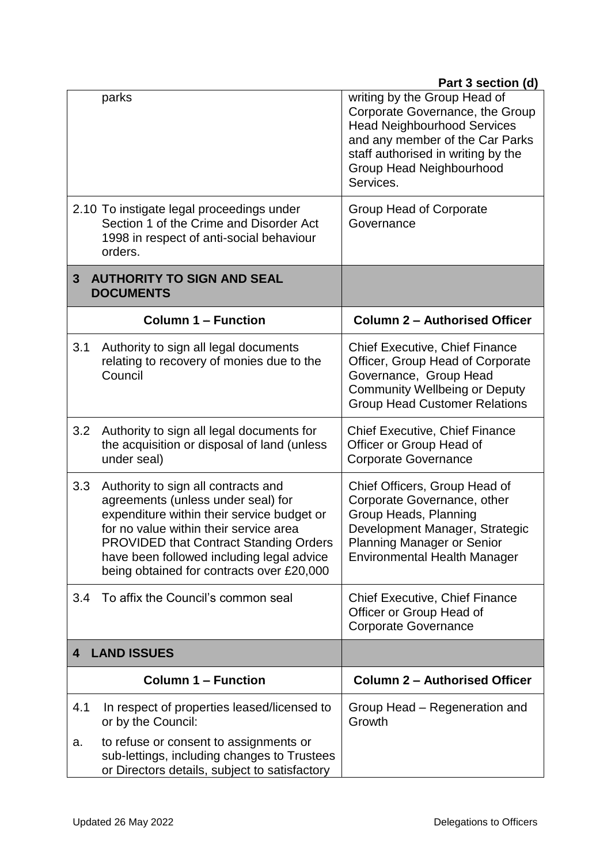|                         |                                                                                                                                                                                                                                                                                                              | Part 3 section (d)                                                                                                                                                                                                      |
|-------------------------|--------------------------------------------------------------------------------------------------------------------------------------------------------------------------------------------------------------------------------------------------------------------------------------------------------------|-------------------------------------------------------------------------------------------------------------------------------------------------------------------------------------------------------------------------|
|                         | parks                                                                                                                                                                                                                                                                                                        | writing by the Group Head of<br>Corporate Governance, the Group<br><b>Head Neighbourhood Services</b><br>and any member of the Car Parks<br>staff authorised in writing by the<br>Group Head Neighbourhood<br>Services. |
|                         | 2.10 To instigate legal proceedings under<br>Section 1 of the Crime and Disorder Act<br>1998 in respect of anti-social behaviour<br>orders.                                                                                                                                                                  | Group Head of Corporate<br>Governance                                                                                                                                                                                   |
| $3\phantom{.0}$         | <b>AUTHORITY TO SIGN AND SEAL</b><br><b>DOCUMENTS</b>                                                                                                                                                                                                                                                        |                                                                                                                                                                                                                         |
|                         | <b>Column 1 - Function</b>                                                                                                                                                                                                                                                                                   | <b>Column 2 - Authorised Officer</b>                                                                                                                                                                                    |
| 3.1                     | Authority to sign all legal documents<br>relating to recovery of monies due to the<br>Council                                                                                                                                                                                                                | Chief Executive, Chief Finance<br>Officer, Group Head of Corporate<br>Governance, Group Head<br><b>Community Wellbeing or Deputy</b><br><b>Group Head Customer Relations</b>                                            |
| 3.2                     | Authority to sign all legal documents for<br>the acquisition or disposal of land (unless<br>under seal)                                                                                                                                                                                                      | <b>Chief Executive, Chief Finance</b><br>Officer or Group Head of<br><b>Corporate Governance</b>                                                                                                                        |
| 3.3                     | Authority to sign all contracts and<br>agreements (unless under seal) for<br>expenditure within their service budget or<br>for no value within their service area<br><b>PROVIDED that Contract Standing Orders</b><br>have been followed including legal advice<br>being obtained for contracts over £20,000 | Chief Officers, Group Head of<br>Corporate Governance, other<br>Group Heads, Planning<br>Development Manager, Strategic<br><b>Planning Manager or Senior</b><br><b>Environmental Health Manager</b>                     |
| 3.4                     | To affix the Council's common seal                                                                                                                                                                                                                                                                           | <b>Chief Executive, Chief Finance</b><br>Officer or Group Head of<br><b>Corporate Governance</b>                                                                                                                        |
| <b>LAND ISSUES</b><br>4 |                                                                                                                                                                                                                                                                                                              |                                                                                                                                                                                                                         |
|                         | <b>Column 1 - Function</b>                                                                                                                                                                                                                                                                                   | <b>Column 2 - Authorised Officer</b>                                                                                                                                                                                    |
| 4.1                     | In respect of properties leased/licensed to<br>or by the Council:                                                                                                                                                                                                                                            | Group Head – Regeneration and<br>Growth                                                                                                                                                                                 |
| a.                      | to refuse or consent to assignments or<br>sub-lettings, including changes to Trustees<br>or Directors details, subject to satisfactory                                                                                                                                                                       |                                                                                                                                                                                                                         |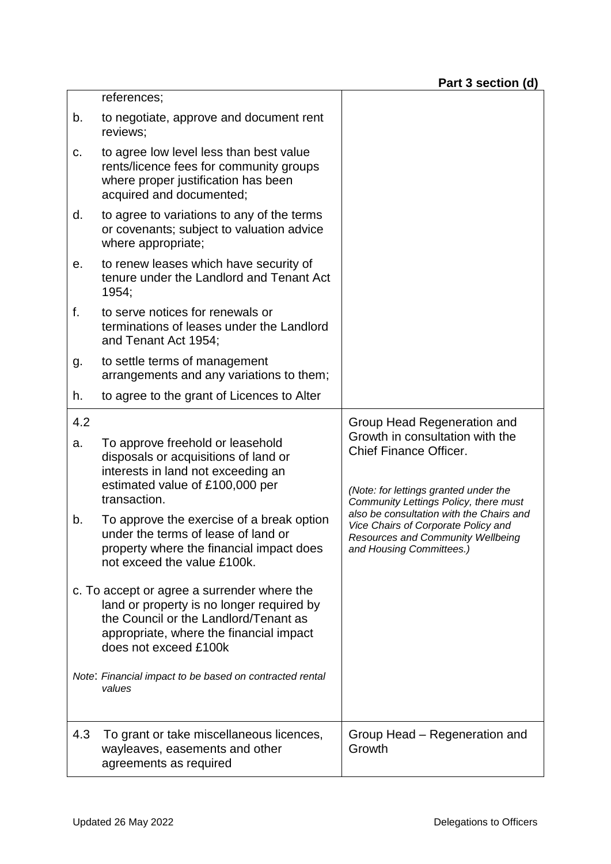|     | references;                                                                                                                                                                                           |                                                                                                                                                  |
|-----|-------------------------------------------------------------------------------------------------------------------------------------------------------------------------------------------------------|--------------------------------------------------------------------------------------------------------------------------------------------------|
| b.  | to negotiate, approve and document rent<br>reviews;                                                                                                                                                   |                                                                                                                                                  |
| c.  | to agree low level less than best value<br>rents/licence fees for community groups<br>where proper justification has been<br>acquired and documented;                                                 |                                                                                                                                                  |
| d.  | to agree to variations to any of the terms<br>or covenants; subject to valuation advice<br>where appropriate;                                                                                         |                                                                                                                                                  |
| е.  | to renew leases which have security of<br>tenure under the Landlord and Tenant Act<br>1954;                                                                                                           |                                                                                                                                                  |
| f.  | to serve notices for renewals or<br>terminations of leases under the Landlord<br>and Tenant Act 1954;                                                                                                 |                                                                                                                                                  |
| g.  | to settle terms of management<br>arrangements and any variations to them;                                                                                                                             |                                                                                                                                                  |
| h.  | to agree to the grant of Licences to Alter                                                                                                                                                            |                                                                                                                                                  |
| 4.2 |                                                                                                                                                                                                       | Group Head Regeneration and                                                                                                                      |
| a.  | To approve freehold or leasehold<br>disposals or acquisitions of land or<br>interests in land not exceeding an<br>estimated value of £100,000 per<br>transaction.                                     | Growth in consultation with the<br>Chief Finance Officer.<br>(Note: for lettings granted under the<br>Community Lettings Policy, there must      |
| b.  | To approve the exercise of a break option<br>under the terms of lease of land or<br>property where the financial impact does<br>not exceed the value £100k.                                           | also be consultation with the Chairs and<br>Vice Chairs of Corporate Policy and<br>Resources and Community Wellbeing<br>and Housing Committees.) |
|     | c. To accept or agree a surrender where the<br>land or property is no longer required by<br>the Council or the Landlord/Tenant as<br>appropriate, where the financial impact<br>does not exceed £100k |                                                                                                                                                  |
|     | Note: Financial impact to be based on contracted rental<br>values                                                                                                                                     |                                                                                                                                                  |
| 4.3 | To grant or take miscellaneous licences,<br>wayleaves, easements and other<br>agreements as required                                                                                                  | Group Head - Regeneration and<br>Growth                                                                                                          |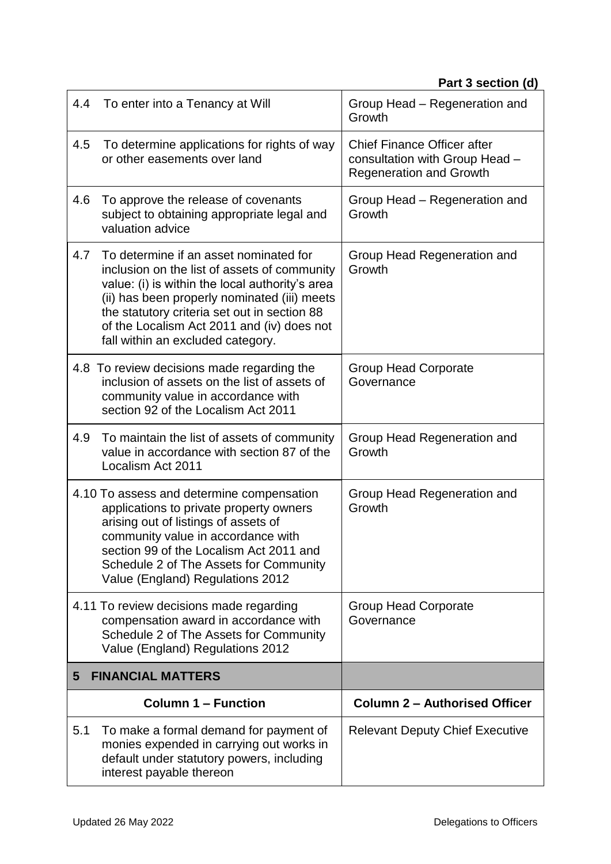| 4.4 | To enter into a Tenancy at Will                                                                                                                                                                                                                                                                                              | Group Head - Regeneration and<br>Growth                                                                |
|-----|------------------------------------------------------------------------------------------------------------------------------------------------------------------------------------------------------------------------------------------------------------------------------------------------------------------------------|--------------------------------------------------------------------------------------------------------|
| 4.5 | To determine applications for rights of way<br>or other easements over land                                                                                                                                                                                                                                                  | <b>Chief Finance Officer after</b><br>consultation with Group Head -<br><b>Regeneration and Growth</b> |
| 4.6 | To approve the release of covenants<br>subject to obtaining appropriate legal and<br>valuation advice                                                                                                                                                                                                                        | Group Head – Regeneration and<br>Growth                                                                |
| 4.7 | To determine if an asset nominated for<br>inclusion on the list of assets of community<br>value: (i) is within the local authority's area<br>(ii) has been properly nominated (iii) meets<br>the statutory criteria set out in section 88<br>of the Localism Act 2011 and (iv) does not<br>fall within an excluded category. | Group Head Regeneration and<br>Growth                                                                  |
|     | 4.8 To review decisions made regarding the<br>inclusion of assets on the list of assets of<br>community value in accordance with<br>section 92 of the Localism Act 2011                                                                                                                                                      | <b>Group Head Corporate</b><br>Governance                                                              |
| 4.9 | To maintain the list of assets of community<br>value in accordance with section 87 of the<br>Localism Act 2011                                                                                                                                                                                                               | Group Head Regeneration and<br>Growth                                                                  |
|     | 4.10 To assess and determine compensation<br>applications to private property owners<br>arising out of listings of assets of<br>community value in accordance with<br>section 99 of the Localism Act 2011 and<br>Schedule 2 of The Assets for Community<br>Value (England) Regulations 2012                                  | Group Head Regeneration and<br>Growth                                                                  |
|     | 4.11 To review decisions made regarding<br>compensation award in accordance with<br>Schedule 2 of The Assets for Community<br>Value (England) Regulations 2012                                                                                                                                                               | <b>Group Head Corporate</b><br>Governance                                                              |
| 5   | <b>FINANCIAL MATTERS</b>                                                                                                                                                                                                                                                                                                     |                                                                                                        |
|     | <b>Column 1 – Function</b>                                                                                                                                                                                                                                                                                                   | <b>Column 2 - Authorised Officer</b>                                                                   |
| 5.1 | To make a formal demand for payment of<br>monies expended in carrying out works in<br>default under statutory powers, including<br>interest payable thereon                                                                                                                                                                  | <b>Relevant Deputy Chief Executive</b>                                                                 |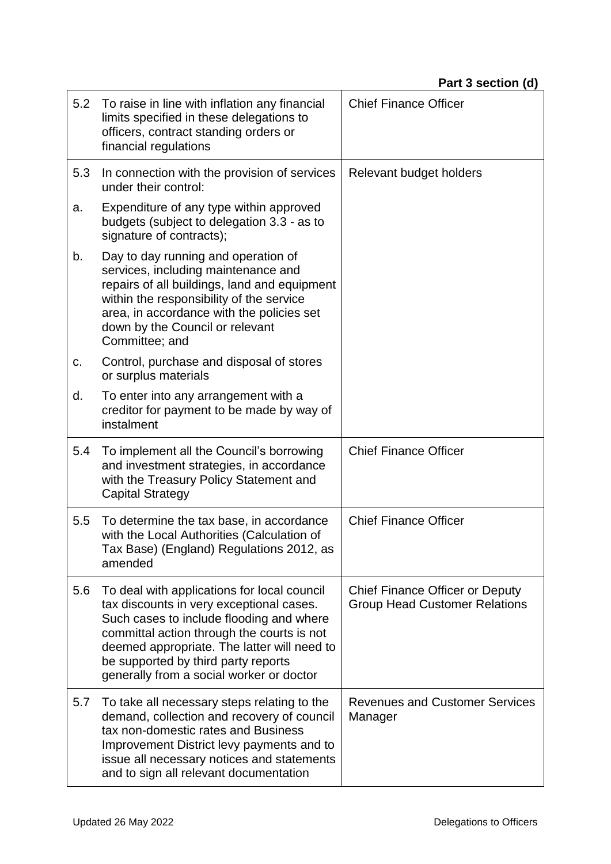| 5.2 | To raise in line with inflation any financial<br>limits specified in these delegations to<br>officers, contract standing orders or<br>financial regulations                                                                                                                                                         | <b>Chief Finance Officer</b>                                                   |
|-----|---------------------------------------------------------------------------------------------------------------------------------------------------------------------------------------------------------------------------------------------------------------------------------------------------------------------|--------------------------------------------------------------------------------|
| 5.3 | In connection with the provision of services<br>under their control:                                                                                                                                                                                                                                                | Relevant budget holders                                                        |
| a.  | Expenditure of any type within approved<br>budgets (subject to delegation 3.3 - as to<br>signature of contracts);                                                                                                                                                                                                   |                                                                                |
| b.  | Day to day running and operation of<br>services, including maintenance and<br>repairs of all buildings, land and equipment<br>within the responsibility of the service<br>area, in accordance with the policies set<br>down by the Council or relevant<br>Committee; and                                            |                                                                                |
| c.  | Control, purchase and disposal of stores<br>or surplus materials                                                                                                                                                                                                                                                    |                                                                                |
| d.  | To enter into any arrangement with a<br>creditor for payment to be made by way of<br>instalment                                                                                                                                                                                                                     |                                                                                |
| 5.4 | To implement all the Council's borrowing<br>and investment strategies, in accordance<br>with the Treasury Policy Statement and<br><b>Capital Strategy</b>                                                                                                                                                           | <b>Chief Finance Officer</b>                                                   |
| 5.5 | To determine the tax base, in accordance<br>with the Local Authorities (Calculation of<br>Tax Base) (England) Regulations 2012, as<br>amended                                                                                                                                                                       | <b>Chief Finance Officer</b>                                                   |
| 5.6 | To deal with applications for local council<br>tax discounts in very exceptional cases.<br>Such cases to include flooding and where<br>committal action through the courts is not<br>deemed appropriate. The latter will need to<br>be supported by third party reports<br>generally from a social worker or doctor | <b>Chief Finance Officer or Deputy</b><br><b>Group Head Customer Relations</b> |
| 5.7 | To take all necessary steps relating to the<br>demand, collection and recovery of council<br>tax non-domestic rates and Business<br>Improvement District levy payments and to<br>issue all necessary notices and statements<br>and to sign all relevant documentation                                               | <b>Revenues and Customer Services</b><br>Manager                               |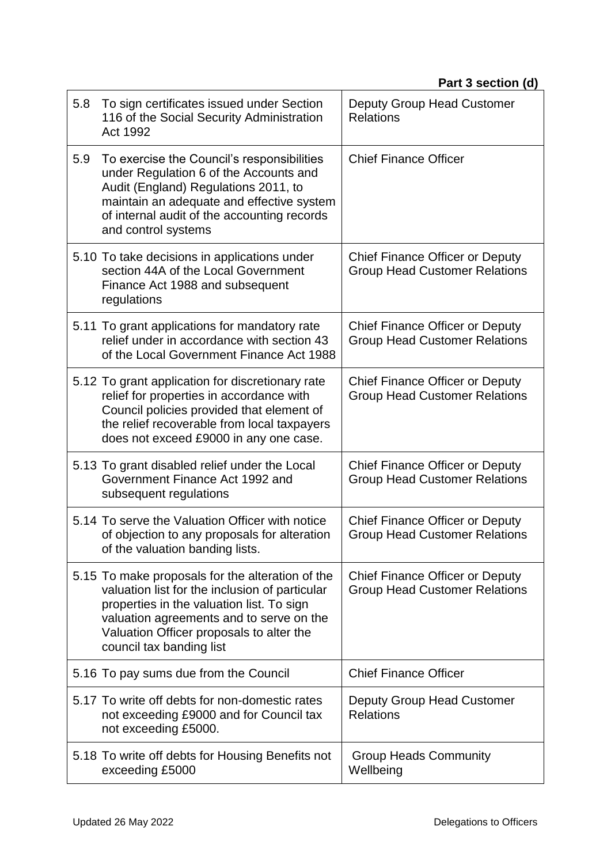| 5.8 | To sign certificates issued under Section<br>116 of the Social Security Administration<br>Act 1992                                                                                                                                                                  | Deputy Group Head Customer<br><b>Relations</b>                                 |
|-----|---------------------------------------------------------------------------------------------------------------------------------------------------------------------------------------------------------------------------------------------------------------------|--------------------------------------------------------------------------------|
| 5.9 | To exercise the Council's responsibilities<br>under Regulation 6 of the Accounts and<br>Audit (England) Regulations 2011, to<br>maintain an adequate and effective system<br>of internal audit of the accounting records<br>and control systems                     | <b>Chief Finance Officer</b>                                                   |
|     | 5.10 To take decisions in applications under<br>section 44A of the Local Government<br>Finance Act 1988 and subsequent<br>regulations                                                                                                                               | <b>Chief Finance Officer or Deputy</b><br><b>Group Head Customer Relations</b> |
|     | 5.11 To grant applications for mandatory rate<br>relief under in accordance with section 43<br>of the Local Government Finance Act 1988                                                                                                                             | <b>Chief Finance Officer or Deputy</b><br><b>Group Head Customer Relations</b> |
|     | 5.12 To grant application for discretionary rate<br>relief for properties in accordance with<br>Council policies provided that element of<br>the relief recoverable from local taxpayers<br>does not exceed £9000 in any one case.                                  | <b>Chief Finance Officer or Deputy</b><br><b>Group Head Customer Relations</b> |
|     | 5.13 To grant disabled relief under the Local<br>Government Finance Act 1992 and<br>subsequent regulations                                                                                                                                                          | <b>Chief Finance Officer or Deputy</b><br><b>Group Head Customer Relations</b> |
|     | 5.14 To serve the Valuation Officer with notice<br>of objection to any proposals for alteration<br>of the valuation banding lists.                                                                                                                                  | <b>Chief Finance Officer or Deputy</b><br><b>Group Head Customer Relations</b> |
|     | 5.15 To make proposals for the alteration of the<br>valuation list for the inclusion of particular<br>properties in the valuation list. To sign<br>valuation agreements and to serve on the<br>Valuation Officer proposals to alter the<br>council tax banding list | <b>Chief Finance Officer or Deputy</b><br><b>Group Head Customer Relations</b> |
|     | 5.16 To pay sums due from the Council                                                                                                                                                                                                                               | <b>Chief Finance Officer</b>                                                   |
|     | 5.17 To write off debts for non-domestic rates<br>not exceeding £9000 and for Council tax<br>not exceeding £5000.                                                                                                                                                   | Deputy Group Head Customer<br><b>Relations</b>                                 |
|     | 5.18 To write off debts for Housing Benefits not<br>exceeding £5000                                                                                                                                                                                                 | <b>Group Heads Community</b><br>Wellbeing                                      |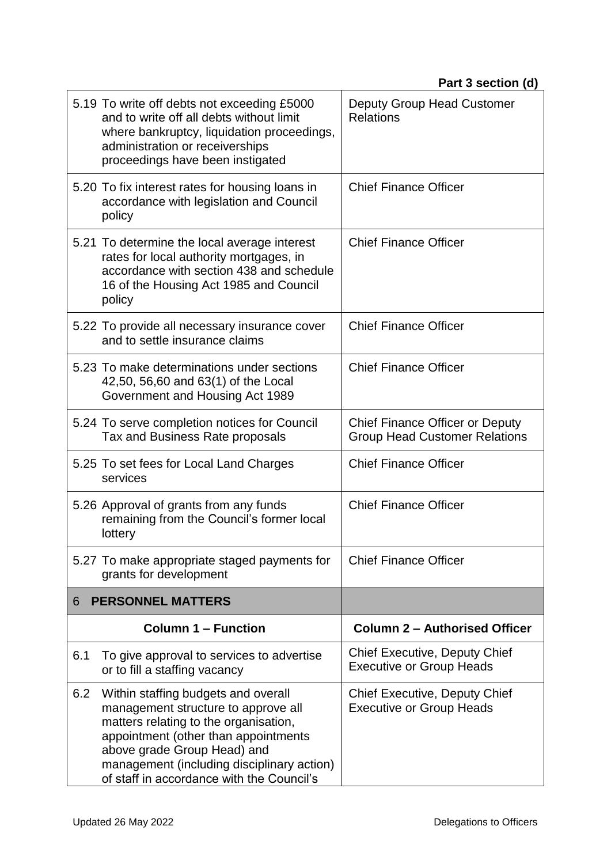|     | 5.19 To write off debts not exceeding £5000<br>and to write off all debts without limit<br>where bankruptcy, liquidation proceedings,<br>administration or receiverships<br>proceedings have been instigated                                                                          | Deputy Group Head Customer<br><b>Relations</b>                                 |
|-----|---------------------------------------------------------------------------------------------------------------------------------------------------------------------------------------------------------------------------------------------------------------------------------------|--------------------------------------------------------------------------------|
|     | 5.20 To fix interest rates for housing loans in<br>accordance with legislation and Council<br>policy                                                                                                                                                                                  | <b>Chief Finance Officer</b>                                                   |
|     | 5.21 To determine the local average interest<br>rates for local authority mortgages, in<br>accordance with section 438 and schedule<br>16 of the Housing Act 1985 and Council<br>policy                                                                                               | <b>Chief Finance Officer</b>                                                   |
|     | 5.22 To provide all necessary insurance cover<br>and to settle insurance claims                                                                                                                                                                                                       | <b>Chief Finance Officer</b>                                                   |
|     | 5.23 To make determinations under sections<br>42,50, 56,60 and 63(1) of the Local<br>Government and Housing Act 1989                                                                                                                                                                  | <b>Chief Finance Officer</b>                                                   |
|     | 5.24 To serve completion notices for Council<br>Tax and Business Rate proposals                                                                                                                                                                                                       | <b>Chief Finance Officer or Deputy</b><br><b>Group Head Customer Relations</b> |
|     | 5.25 To set fees for Local Land Charges<br>services                                                                                                                                                                                                                                   | <b>Chief Finance Officer</b>                                                   |
|     | 5.26 Approval of grants from any funds<br>remaining from the Council's former local<br>lottery                                                                                                                                                                                        | <b>Chief Finance Officer</b>                                                   |
|     | 5.27 To make appropriate staged payments for<br>grants for development                                                                                                                                                                                                                | <b>Chief Finance Officer</b>                                                   |
| 6   | <b>PERSONNEL MATTERS</b>                                                                                                                                                                                                                                                              |                                                                                |
|     | <b>Column 1 - Function</b>                                                                                                                                                                                                                                                            | <b>Column 2 - Authorised Officer</b>                                           |
| 6.1 | To give approval to services to advertise<br>or to fill a staffing vacancy                                                                                                                                                                                                            | <b>Chief Executive, Deputy Chief</b><br><b>Executive or Group Heads</b>        |
| 6.2 | Within staffing budgets and overall<br>management structure to approve all<br>matters relating to the organisation,<br>appointment (other than appointments<br>above grade Group Head) and<br>management (including disciplinary action)<br>of staff in accordance with the Council's | <b>Chief Executive, Deputy Chief</b><br><b>Executive or Group Heads</b>        |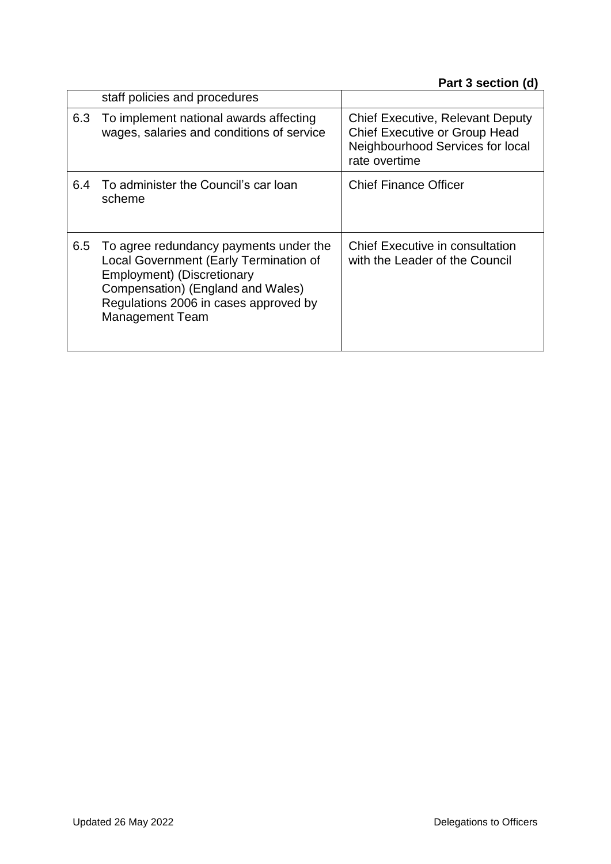|     | staff policies and procedures                                                                                                                                                                                                 |                                                                                                                                      |
|-----|-------------------------------------------------------------------------------------------------------------------------------------------------------------------------------------------------------------------------------|--------------------------------------------------------------------------------------------------------------------------------------|
| 6.3 | To implement national awards affecting<br>wages, salaries and conditions of service                                                                                                                                           | <b>Chief Executive, Relevant Deputy</b><br><b>Chief Executive or Group Head</b><br>Neighbourhood Services for local<br>rate overtime |
| 6.4 | To administer the Council's car loan<br>scheme                                                                                                                                                                                | <b>Chief Finance Officer</b>                                                                                                         |
| 6.5 | To agree redundancy payments under the<br>Local Government (Early Termination of<br><b>Employment) (Discretionary</b><br>Compensation) (England and Wales)<br>Regulations 2006 in cases approved by<br><b>Management Team</b> | Chief Executive in consultation<br>with the Leader of the Council                                                                    |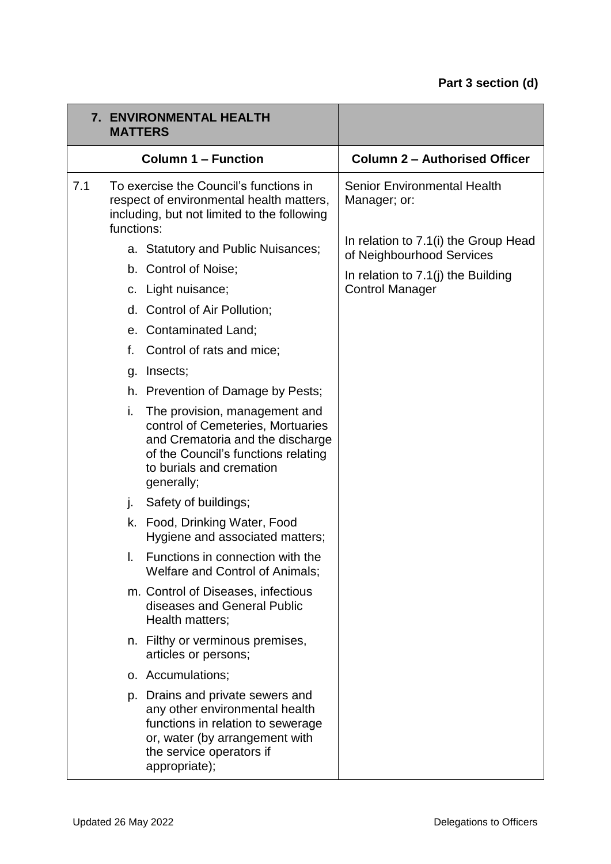| <b>7. ENVIRONMENTAL HEALTH</b><br><b>MATTERS</b> |            |                                                                                                                                                                                         |                                                                   |
|--------------------------------------------------|------------|-----------------------------------------------------------------------------------------------------------------------------------------------------------------------------------------|-------------------------------------------------------------------|
|                                                  |            | <b>Column 1 - Function</b>                                                                                                                                                              | <b>Column 2 - Authorised Officer</b>                              |
| 7.1                                              | functions: | To exercise the Council's functions in<br>respect of environmental health matters,<br>including, but not limited to the following                                                       | <b>Senior Environmental Health</b><br>Manager; or:                |
|                                                  |            | a. Statutory and Public Nuisances;                                                                                                                                                      | In relation to 7.1(i) the Group Head<br>of Neighbourhood Services |
|                                                  |            | b. Control of Noise;                                                                                                                                                                    | In relation to $7.1(j)$ the Building                              |
|                                                  |            | c. Light nuisance;                                                                                                                                                                      | <b>Control Manager</b>                                            |
|                                                  |            | d. Control of Air Pollution;                                                                                                                                                            |                                                                   |
|                                                  |            | e. Contaminated Land;                                                                                                                                                                   |                                                                   |
|                                                  | f.         | Control of rats and mice;                                                                                                                                                               |                                                                   |
|                                                  | g.         | Insects;                                                                                                                                                                                |                                                                   |
|                                                  |            | h. Prevention of Damage by Pests;                                                                                                                                                       |                                                                   |
|                                                  | i.         | The provision, management and<br>control of Cemeteries, Mortuaries<br>and Crematoria and the discharge<br>of the Council's functions relating<br>to burials and cremation<br>generally; |                                                                   |
|                                                  | j.         | Safety of buildings;                                                                                                                                                                    |                                                                   |
|                                                  |            | k. Food, Drinking Water, Food<br>Hygiene and associated matters;                                                                                                                        |                                                                   |
|                                                  | I.         | Functions in connection with the<br>Welfare and Control of Animals;                                                                                                                     |                                                                   |
|                                                  |            | m. Control of Diseases, infectious<br>diseases and General Public<br>Health matters;                                                                                                    |                                                                   |
|                                                  |            | n. Filthy or verminous premises,<br>articles or persons;                                                                                                                                |                                                                   |
|                                                  |            | o. Accumulations;                                                                                                                                                                       |                                                                   |
|                                                  |            | p. Drains and private sewers and<br>any other environmental health<br>functions in relation to sewerage<br>or, water (by arrangement with<br>the service operators if<br>appropriate);  |                                                                   |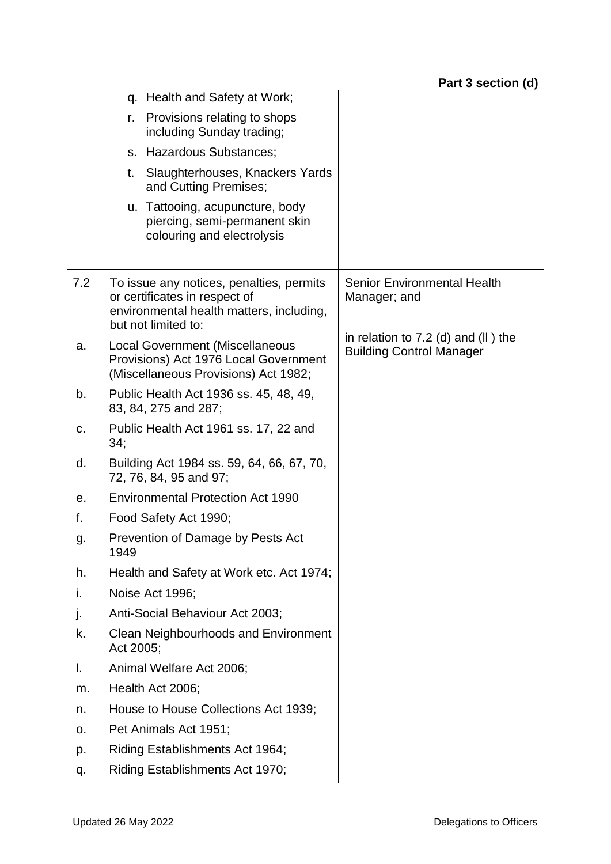|     | q. Health and Safety at Work;                                                                                                                |                                                                          |
|-----|----------------------------------------------------------------------------------------------------------------------------------------------|--------------------------------------------------------------------------|
|     | Provisions relating to shops<br>r.<br>including Sunday trading;                                                                              |                                                                          |
|     | s. Hazardous Substances;                                                                                                                     |                                                                          |
|     | Slaughterhouses, Knackers Yards<br>t.<br>and Cutting Premises;                                                                               |                                                                          |
|     | u. Tattooing, acupuncture, body<br>piercing, semi-permanent skin<br>colouring and electrolysis                                               |                                                                          |
| 7.2 | To issue any notices, penalties, permits<br>or certificates in respect of<br>environmental health matters, including,<br>but not limited to: | <b>Senior Environmental Health</b><br>Manager; and                       |
| a.  | <b>Local Government (Miscellaneous</b><br>Provisions) Act 1976 Local Government<br>(Miscellaneous Provisions) Act 1982;                      | in relation to $7.2$ (d) and (II) the<br><b>Building Control Manager</b> |
| b.  | Public Health Act 1936 ss. 45, 48, 49,<br>83, 84, 275 and 287;                                                                               |                                                                          |
| c.  | Public Health Act 1961 ss. 17, 22 and<br>34;                                                                                                 |                                                                          |
| d.  | Building Act 1984 ss. 59, 64, 66, 67, 70,<br>72, 76, 84, 95 and 97;                                                                          |                                                                          |
| е.  | <b>Environmental Protection Act 1990</b>                                                                                                     |                                                                          |
| f.  | Food Safety Act 1990;                                                                                                                        |                                                                          |
| g.  | Prevention of Damage by Pests Act<br>1949                                                                                                    |                                                                          |
| h.  | Health and Safety at Work etc. Act 1974;                                                                                                     |                                                                          |
| İ.  | Noise Act 1996;                                                                                                                              |                                                                          |
| j.  | Anti-Social Behaviour Act 2003;                                                                                                              |                                                                          |
| k.  | <b>Clean Neighbourhoods and Environment</b><br>Act 2005;                                                                                     |                                                                          |
| I.  | Animal Welfare Act 2006;                                                                                                                     |                                                                          |
| m.  | Health Act 2006;                                                                                                                             |                                                                          |
| n.  | House to House Collections Act 1939;                                                                                                         |                                                                          |
| О.  | Pet Animals Act 1951;                                                                                                                        |                                                                          |
| p.  | Riding Establishments Act 1964;                                                                                                              |                                                                          |
| q.  | Riding Establishments Act 1970;                                                                                                              |                                                                          |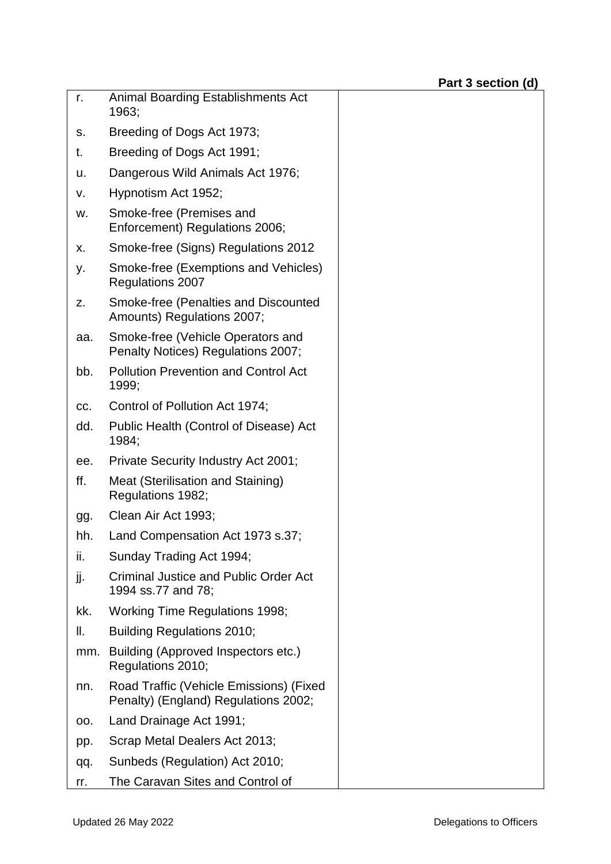| r.  | <b>Animal Boarding Establishments Act</b><br>1963;                              |
|-----|---------------------------------------------------------------------------------|
| s.  | Breeding of Dogs Act 1973;                                                      |
| t.  | Breeding of Dogs Act 1991;                                                      |
| u.  | Dangerous Wild Animals Act 1976;                                                |
| v.  | Hypnotism Act 1952;                                                             |
| w.  | Smoke-free (Premises and<br>Enforcement) Regulations 2006;                      |
| х.  | Smoke-free (Signs) Regulations 2012                                             |
| у.  | Smoke-free (Exemptions and Vehicles)<br>Regulations 2007                        |
| z.  | Smoke-free (Penalties and Discounted<br>Amounts) Regulations 2007;              |
| aa. | Smoke-free (Vehicle Operators and<br>Penalty Notices) Regulations 2007;         |
| bb. | <b>Pollution Prevention and Control Act</b><br>1999;                            |
| CC. | Control of Pollution Act 1974;                                                  |
| dd. | Public Health (Control of Disease) Act<br>1984;                                 |
| ee. | Private Security Industry Act 2001;                                             |
| ff. | Meat (Sterilisation and Staining)<br>Regulations 1982;                          |
| gg. | Clean Air Act 1993;                                                             |
| hh. | Land Compensation Act 1973 s.37;                                                |
| ii. | Sunday Trading Act 1994;                                                        |
| jj. | <b>Criminal Justice and Public Order Act</b><br>1994 ss.77 and 78;              |
| kk. | Working Time Regulations 1998;                                                  |
| II. | <b>Building Regulations 2010;</b>                                               |
| mm. | Building (Approved Inspectors etc.)<br>Regulations 2010;                        |
| nn. | Road Traffic (Vehicle Emissions) (Fixed<br>Penalty) (England) Regulations 2002; |
| oo. | Land Drainage Act 1991;                                                         |
| pp. | Scrap Metal Dealers Act 2013;                                                   |
| qq. | Sunbeds (Regulation) Act 2010;                                                  |
| rr. | The Caravan Sites and Control of                                                |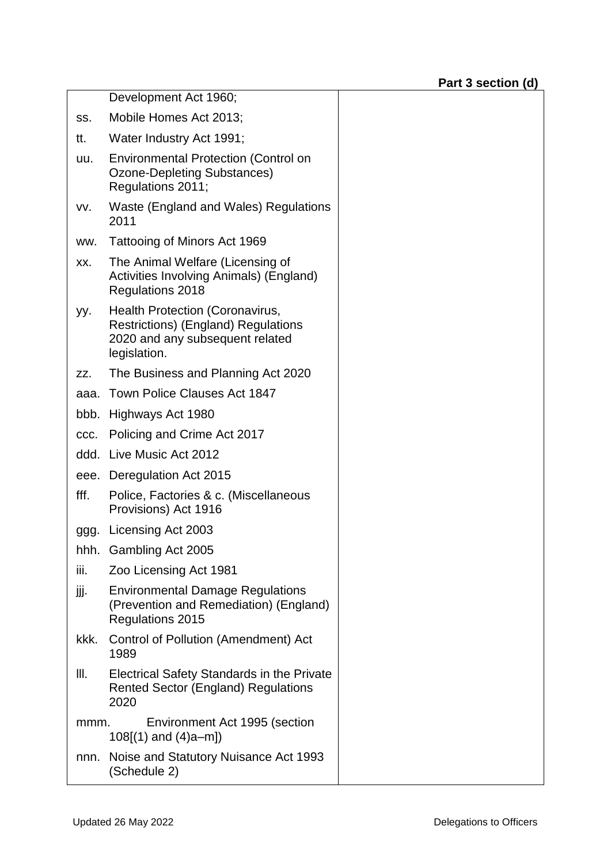|      | Development Act 1960;                                                                                                     |
|------|---------------------------------------------------------------------------------------------------------------------------|
| SS.  | Mobile Homes Act 2013;                                                                                                    |
| tt.  | Water Industry Act 1991;                                                                                                  |
| uu.  | <b>Environmental Protection (Control on</b><br>Ozone-Depleting Substances)<br>Regulations 2011;                           |
| VV.  | Waste (England and Wales) Regulations<br>2011                                                                             |
| WW.  | Tattooing of Minors Act 1969                                                                                              |
| XX.  | The Animal Welfare (Licensing of<br>Activities Involving Animals) (England)<br><b>Regulations 2018</b>                    |
| yy.  | Health Protection (Coronavirus,<br>Restrictions) (England) Regulations<br>2020 and any subsequent related<br>legislation. |
| ZZ.  | The Business and Planning Act 2020                                                                                        |
| aaa. | <b>Town Police Clauses Act 1847</b>                                                                                       |
| bbb. | Highways Act 1980                                                                                                         |
| CCC. | Policing and Crime Act 2017                                                                                               |
|      | ddd. Live Music Act 2012                                                                                                  |
|      | eee. Deregulation Act 2015                                                                                                |
| fff. | Police, Factories & c. (Miscellaneous<br>Provisions) Act 1916                                                             |
| ggg. | Licensing Act 2003                                                                                                        |
|      | hhh. Gambling Act 2005                                                                                                    |
| iii. | Zoo Licensing Act 1981                                                                                                    |
| jjj. | <b>Environmental Damage Regulations</b><br>(Prevention and Remediation) (England)<br>Regulations 2015                     |
| kkk. | Control of Pollution (Amendment) Act<br>1989                                                                              |
| Ⅲ.   | <b>Electrical Safety Standards in the Private</b><br><b>Rented Sector (England) Regulations</b><br>2020                   |
| mmm. | Environment Act 1995 (section<br>$108[(1)$ and $(4)a-m]$                                                                  |
| nnn. | Noise and Statutory Nuisance Act 1993<br>(Schedule 2)                                                                     |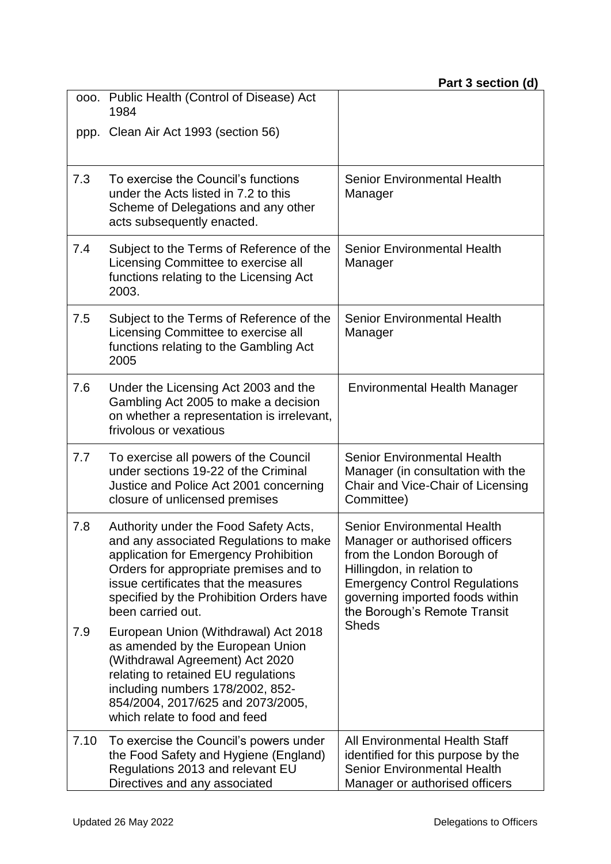| 000. | Public Health (Control of Disease) Act<br>1984                                                                                                                                                                                                                              |                                                                                                                                                                                                                                             |
|------|-----------------------------------------------------------------------------------------------------------------------------------------------------------------------------------------------------------------------------------------------------------------------------|---------------------------------------------------------------------------------------------------------------------------------------------------------------------------------------------------------------------------------------------|
| ppp. | Clean Air Act 1993 (section 56)                                                                                                                                                                                                                                             |                                                                                                                                                                                                                                             |
| 7.3  | To exercise the Council's functions<br>under the Acts listed in 7.2 to this<br>Scheme of Delegations and any other<br>acts subsequently enacted.                                                                                                                            | <b>Senior Environmental Health</b><br>Manager                                                                                                                                                                                               |
| 7.4  | Subject to the Terms of Reference of the<br>Licensing Committee to exercise all<br>functions relating to the Licensing Act<br>2003.                                                                                                                                         | <b>Senior Environmental Health</b><br>Manager                                                                                                                                                                                               |
| 7.5  | Subject to the Terms of Reference of the<br>Licensing Committee to exercise all<br>functions relating to the Gambling Act<br>2005                                                                                                                                           | <b>Senior Environmental Health</b><br>Manager                                                                                                                                                                                               |
| 7.6  | Under the Licensing Act 2003 and the<br>Gambling Act 2005 to make a decision<br>on whether a representation is irrelevant,<br>frivolous or vexatious                                                                                                                        | <b>Environmental Health Manager</b>                                                                                                                                                                                                         |
| 7.7  | To exercise all powers of the Council<br>under sections 19-22 of the Criminal<br>Justice and Police Act 2001 concerning<br>closure of unlicensed premises                                                                                                                   | <b>Senior Environmental Health</b><br>Manager (in consultation with the<br>Chair and Vice-Chair of Licensing<br>Committee)                                                                                                                  |
| 7.8  | Authority under the Food Safety Acts,<br>and any associated Regulations to make<br>application for Emergency Prohibition<br>Orders for appropriate premises and to<br>issue certificates that the measures<br>specified by the Prohibition Orders have<br>been carried out. | <b>Senior Environmental Health</b><br>Manager or authorised officers<br>from the London Borough of<br>Hillingdon, in relation to<br><b>Emergency Control Regulations</b><br>governing imported foods within<br>the Borough's Remote Transit |
| 7.9  | European Union (Withdrawal) Act 2018<br>as amended by the European Union<br>(Withdrawal Agreement) Act 2020<br>relating to retained EU regulations<br>including numbers 178/2002, 852-<br>854/2004, 2017/625 and 2073/2005,<br>which relate to food and feed                | <b>Sheds</b>                                                                                                                                                                                                                                |
| 7.10 | To exercise the Council's powers under<br>the Food Safety and Hygiene (England)<br>Regulations 2013 and relevant EU<br>Directives and any associated                                                                                                                        | <b>All Environmental Health Staff</b><br>identified for this purpose by the<br><b>Senior Environmental Health</b><br>Manager or authorised officers                                                                                         |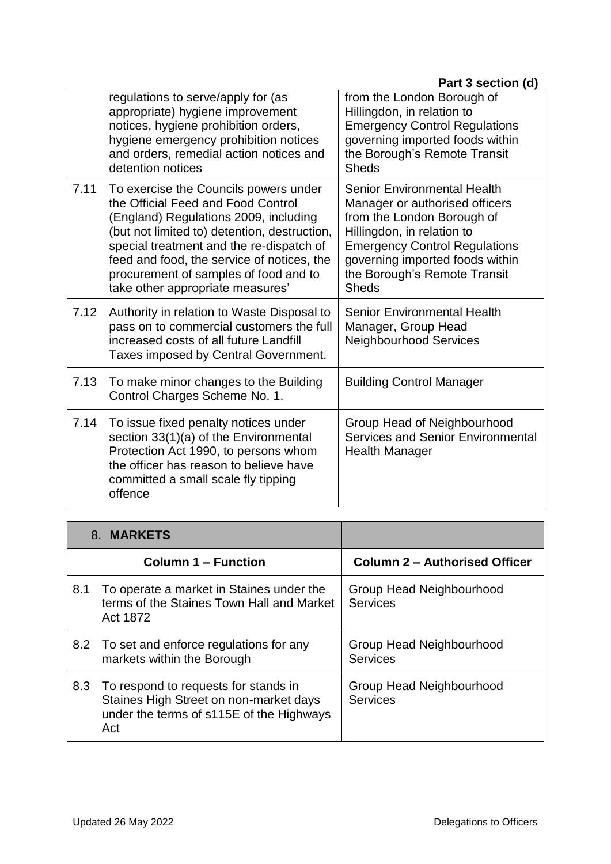|      | regulations to serve/apply for (as<br>appropriate) hygiene improvement<br>notices, hygiene prohibition orders,<br>hygiene emergency prohibition notices<br>and orders, remedial action notices and<br>detention notices                                                                                                                     | from the London Borough of<br>Hillingdon, in relation to<br><b>Emergency Control Regulations</b><br>governing imported foods within<br>the Borough's Remote Transit<br><b>Sheds</b>                                                                  |
|------|---------------------------------------------------------------------------------------------------------------------------------------------------------------------------------------------------------------------------------------------------------------------------------------------------------------------------------------------|------------------------------------------------------------------------------------------------------------------------------------------------------------------------------------------------------------------------------------------------------|
| 7.11 | To exercise the Councils powers under<br>the Official Feed and Food Control<br>(England) Regulations 2009, including<br>(but not limited to) detention, destruction,<br>special treatment and the re-dispatch of<br>feed and food, the service of notices, the<br>procurement of samples of food and to<br>take other appropriate measures' | Senior Environmental Health<br>Manager or authorised officers<br>from the London Borough of<br>Hillingdon, in relation to<br><b>Emergency Control Regulations</b><br>governing imported foods within<br>the Borough's Remote Transit<br><b>Sheds</b> |
| 7.12 | Authority in relation to Waste Disposal to<br>pass on to commercial customers the full<br>increased costs of all future Landfill<br>Taxes imposed by Central Government.                                                                                                                                                                    | <b>Senior Environmental Health</b><br>Manager, Group Head<br><b>Neighbourhood Services</b>                                                                                                                                                           |
| 7.13 | To make minor changes to the Building<br>Control Charges Scheme No. 1.                                                                                                                                                                                                                                                                      | <b>Building Control Manager</b>                                                                                                                                                                                                                      |
| 7.14 | To issue fixed penalty notices under<br>section 33(1)(a) of the Environmental<br>Protection Act 1990, to persons whom<br>the officer has reason to believe have<br>committed a small scale fly tipping<br>offence                                                                                                                           | Group Head of Neighbourhood<br><b>Services and Senior Environmental</b><br><b>Health Manager</b>                                                                                                                                                     |

|     | 8. MARKETS                                                                                                                        |                                             |
|-----|-----------------------------------------------------------------------------------------------------------------------------------|---------------------------------------------|
|     | <b>Column 1 – Function</b>                                                                                                        | <b>Column 2 – Authorised Officer</b>        |
| 8.1 | To operate a market in Staines under the<br>terms of the Staines Town Hall and Market<br>Act 1872                                 | Group Head Neighbourhood<br><b>Services</b> |
|     | 8.2 To set and enforce regulations for any<br>markets within the Borough                                                          | Group Head Neighbourhood<br><b>Services</b> |
| 8.3 | To respond to requests for stands in<br>Staines High Street on non-market days<br>under the terms of s115E of the Highways<br>Act | Group Head Neighbourhood<br><b>Services</b> |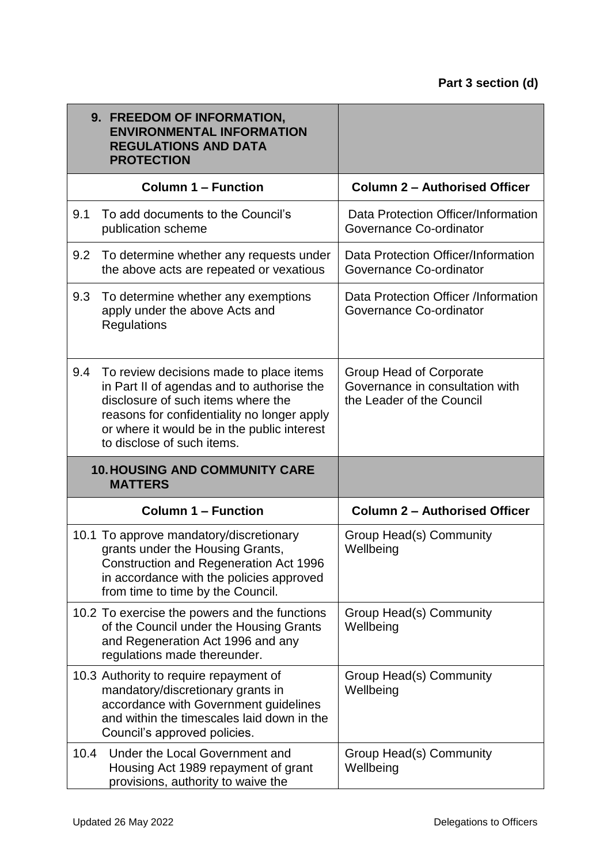|     | 9. FREEDOM OF INFORMATION,<br><b>ENVIRONMENTAL INFORMATION</b><br><b>REGULATIONS AND DATA</b><br><b>PROTECTION</b>                                                                                                                                      |                                                                                         |
|-----|---------------------------------------------------------------------------------------------------------------------------------------------------------------------------------------------------------------------------------------------------------|-----------------------------------------------------------------------------------------|
|     | <b>Column 1 - Function</b>                                                                                                                                                                                                                              | <b>Column 2 - Authorised Officer</b>                                                    |
| 9.1 | To add documents to the Council's<br>publication scheme                                                                                                                                                                                                 | Data Protection Officer/Information<br>Governance Co-ordinator                          |
| 9.2 | To determine whether any requests under<br>the above acts are repeated or vexatious                                                                                                                                                                     | Data Protection Officer/Information<br>Governance Co-ordinator                          |
| 9.3 | To determine whether any exemptions<br>apply under the above Acts and<br><b>Regulations</b>                                                                                                                                                             | Data Protection Officer /Information<br>Governance Co-ordinator                         |
| 9.4 | To review decisions made to place items<br>in Part II of agendas and to authorise the<br>disclosure of such items where the<br>reasons for confidentiality no longer apply<br>or where it would be in the public interest<br>to disclose of such items. | Group Head of Corporate<br>Governance in consultation with<br>the Leader of the Council |
|     | <b>10. HOUSING AND COMMUNITY CARE</b><br><b>MATTERS</b>                                                                                                                                                                                                 |                                                                                         |
|     | <b>Column 1 - Function</b>                                                                                                                                                                                                                              | <b>Column 2 - Authorised Officer</b>                                                    |
|     | 10.1 To approve mandatory/discretionary                                                                                                                                                                                                                 |                                                                                         |
|     | grants under the Housing Grants,<br>Construction and Regeneration Act 1996<br>in accordance with the policies approved<br>from time to time by the Council.                                                                                             | Group Head(s) Community<br>Wellbeing                                                    |
|     | 10.2 To exercise the powers and the functions<br>of the Council under the Housing Grants<br>and Regeneration Act 1996 and any<br>regulations made thereunder.                                                                                           | Group Head(s) Community<br>Wellbeing                                                    |
|     | 10.3 Authority to require repayment of<br>mandatory/discretionary grants in<br>accordance with Government guidelines<br>and within the timescales laid down in the<br>Council's approved policies.                                                      | Group Head(s) Community<br>Wellbeing                                                    |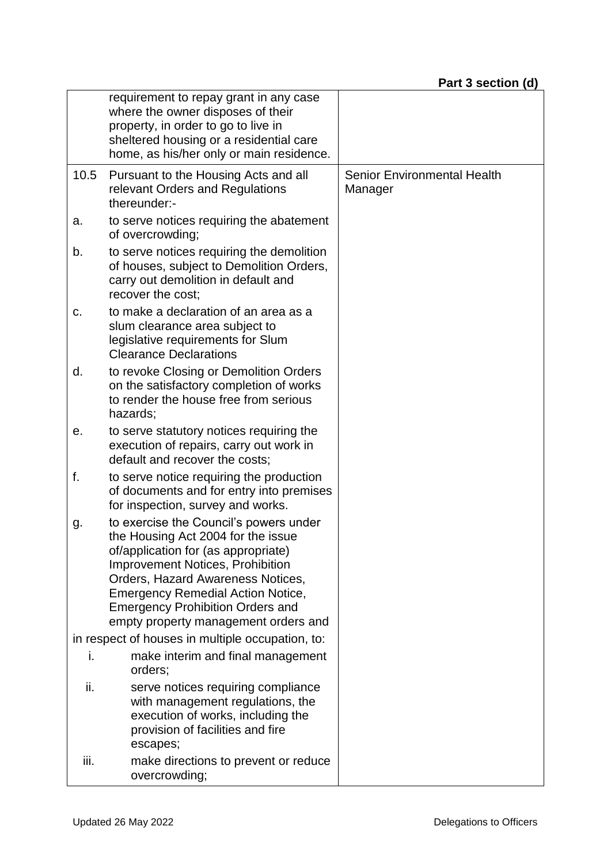|      | requirement to repay grant in any case<br>where the owner disposes of their<br>property, in order to go to live in<br>sheltered housing or a residential care<br>home, as his/her only or main residence.                                                                                                                          |                                               |
|------|------------------------------------------------------------------------------------------------------------------------------------------------------------------------------------------------------------------------------------------------------------------------------------------------------------------------------------|-----------------------------------------------|
| 10.5 | Pursuant to the Housing Acts and all<br>relevant Orders and Regulations<br>thereunder:-                                                                                                                                                                                                                                            | <b>Senior Environmental Health</b><br>Manager |
| a.   | to serve notices requiring the abatement<br>of overcrowding;                                                                                                                                                                                                                                                                       |                                               |
| b.   | to serve notices requiring the demolition<br>of houses, subject to Demolition Orders,<br>carry out demolition in default and<br>recover the cost:                                                                                                                                                                                  |                                               |
| c.   | to make a declaration of an area as a<br>slum clearance area subject to<br>legislative requirements for Slum<br><b>Clearance Declarations</b>                                                                                                                                                                                      |                                               |
| d.   | to revoke Closing or Demolition Orders<br>on the satisfactory completion of works<br>to render the house free from serious<br>hazards;                                                                                                                                                                                             |                                               |
| е.   | to serve statutory notices requiring the<br>execution of repairs, carry out work in<br>default and recover the costs;                                                                                                                                                                                                              |                                               |
| f.   | to serve notice requiring the production<br>of documents and for entry into premises<br>for inspection, survey and works.                                                                                                                                                                                                          |                                               |
| g.   | to exercise the Council's powers under<br>the Housing Act 2004 for the issue<br>of/application for (as appropriate)<br><b>Improvement Notices, Prohibition</b><br>Orders, Hazard Awareness Notices,<br><b>Emergency Remedial Action Notice,</b><br><b>Emergency Prohibition Orders and</b><br>empty property management orders and |                                               |
|      | in respect of houses in multiple occupation, to:                                                                                                                                                                                                                                                                                   |                                               |
| i.   | make interim and final management<br>orders;                                                                                                                                                                                                                                                                                       |                                               |
| ii.  | serve notices requiring compliance<br>with management regulations, the<br>execution of works, including the<br>provision of facilities and fire<br>escapes;                                                                                                                                                                        |                                               |
| iii. | make directions to prevent or reduce<br>overcrowding;                                                                                                                                                                                                                                                                              |                                               |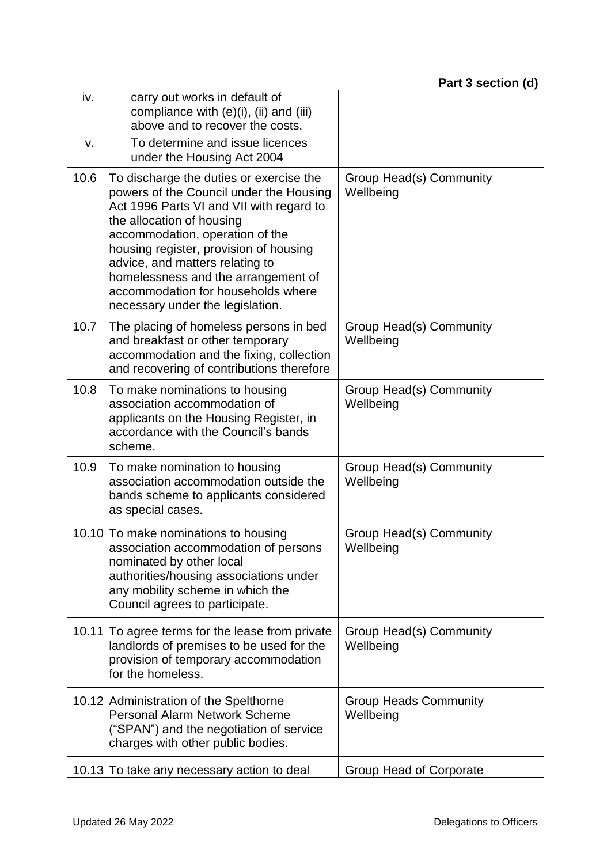| iv.<br>V. | carry out works in default of<br>compliance with $(e)(i)$ , $(ii)$ and $(iii)$<br>above and to recover the costs.<br>To determine and issue licences<br>under the Housing Act 2004                                                                                                                                                                                                           |                                           |
|-----------|----------------------------------------------------------------------------------------------------------------------------------------------------------------------------------------------------------------------------------------------------------------------------------------------------------------------------------------------------------------------------------------------|-------------------------------------------|
| 10.6      | To discharge the duties or exercise the<br>powers of the Council under the Housing<br>Act 1996 Parts VI and VII with regard to<br>the allocation of housing<br>accommodation, operation of the<br>housing register, provision of housing<br>advice, and matters relating to<br>homelessness and the arrangement of<br>accommodation for households where<br>necessary under the legislation. | Group Head(s) Community<br>Wellbeing      |
| 10.7      | The placing of homeless persons in bed<br>and breakfast or other temporary<br>accommodation and the fixing, collection<br>and recovering of contributions therefore                                                                                                                                                                                                                          | Group Head(s) Community<br>Wellbeing      |
| 10.8      | To make nominations to housing<br>association accommodation of<br>applicants on the Housing Register, in<br>accordance with the Council's bands<br>scheme.                                                                                                                                                                                                                                   | Group Head(s) Community<br>Wellbeing      |
| 10.9      | To make nomination to housing<br>association accommodation outside the<br>bands scheme to applicants considered<br>as special cases.                                                                                                                                                                                                                                                         | Group Head(s) Community<br>Wellbeing      |
|           | 10.10 To make nominations to housing<br>association accommodation of persons<br>nominated by other local<br>authorities/housing associations under<br>any mobility scheme in which the<br>Council agrees to participate.                                                                                                                                                                     | Group Head(s) Community<br>Wellbeing      |
|           | 10.11 To agree terms for the lease from private<br>landlords of premises to be used for the<br>provision of temporary accommodation<br>for the homeless.                                                                                                                                                                                                                                     | Group Head(s) Community<br>Wellbeing      |
|           | 10.12 Administration of the Spelthorne<br><b>Personal Alarm Network Scheme</b><br>("SPAN") and the negotiation of service<br>charges with other public bodies.                                                                                                                                                                                                                               | <b>Group Heads Community</b><br>Wellbeing |
|           | 10.13 To take any necessary action to deal                                                                                                                                                                                                                                                                                                                                                   | Group Head of Corporate                   |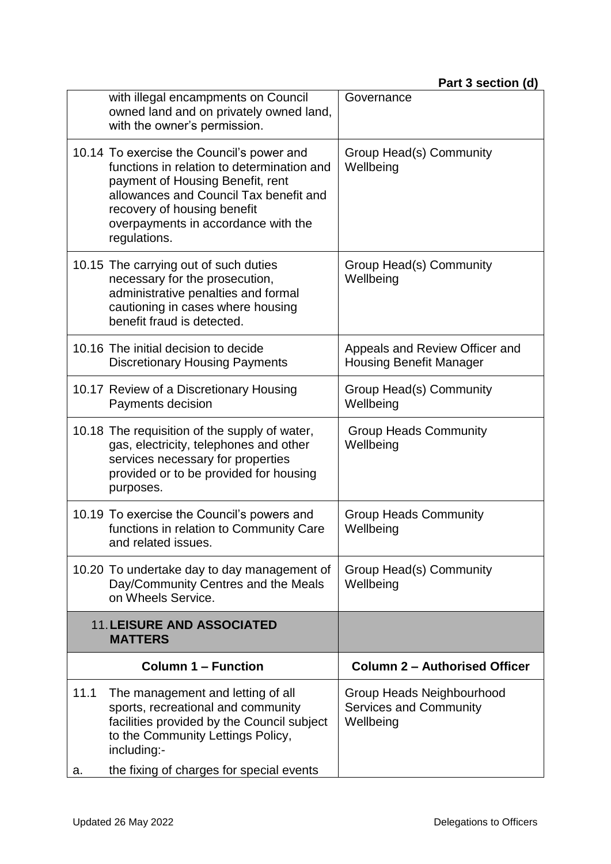|  | Part 3 section (d) |  |
|--|--------------------|--|
|--|--------------------|--|

|      | with illegal encampments on Council<br>owned land and on privately owned land,<br>with the owner's permission.                                                                                                                                              | Governance                                                              |
|------|-------------------------------------------------------------------------------------------------------------------------------------------------------------------------------------------------------------------------------------------------------------|-------------------------------------------------------------------------|
|      | 10.14 To exercise the Council's power and<br>functions in relation to determination and<br>payment of Housing Benefit, rent<br>allowances and Council Tax benefit and<br>recovery of housing benefit<br>overpayments in accordance with the<br>regulations. | Group Head(s) Community<br>Wellbeing                                    |
|      | 10.15 The carrying out of such duties<br>necessary for the prosecution,<br>administrative penalties and formal<br>cautioning in cases where housing<br>benefit fraud is detected.                                                                           | Group Head(s) Community<br>Wellbeing                                    |
|      | 10.16 The initial decision to decide<br><b>Discretionary Housing Payments</b>                                                                                                                                                                               | Appeals and Review Officer and<br><b>Housing Benefit Manager</b>        |
|      | 10.17 Review of a Discretionary Housing<br>Payments decision                                                                                                                                                                                                | Group Head(s) Community<br>Wellbeing                                    |
|      | 10.18 The requisition of the supply of water,<br>gas, electricity, telephones and other<br>services necessary for properties<br>provided or to be provided for housing<br>purposes.                                                                         | <b>Group Heads Community</b><br>Wellbeing                               |
|      | 10.19 To exercise the Council's powers and<br>functions in relation to Community Care<br>and related issues.                                                                                                                                                | <b>Group Heads Community</b><br>Wellbeing                               |
|      | 10.20 To undertake day to day management of<br>Day/Community Centres and the Meals<br>on Wheels Service.                                                                                                                                                    | Group Head(s) Community<br>Wellbeing                                    |
|      | <b>11. LEISURE AND ASSOCIATED</b><br><b>MATTERS</b>                                                                                                                                                                                                         |                                                                         |
|      | <b>Column 1 - Function</b>                                                                                                                                                                                                                                  | <b>Column 2 - Authorised Officer</b>                                    |
| 11.1 | The management and letting of all<br>sports, recreational and community<br>facilities provided by the Council subject<br>to the Community Lettings Policy,<br>including:-                                                                                   | Group Heads Neighbourhood<br><b>Services and Community</b><br>Wellbeing |
| a.   | the fixing of charges for special events                                                                                                                                                                                                                    |                                                                         |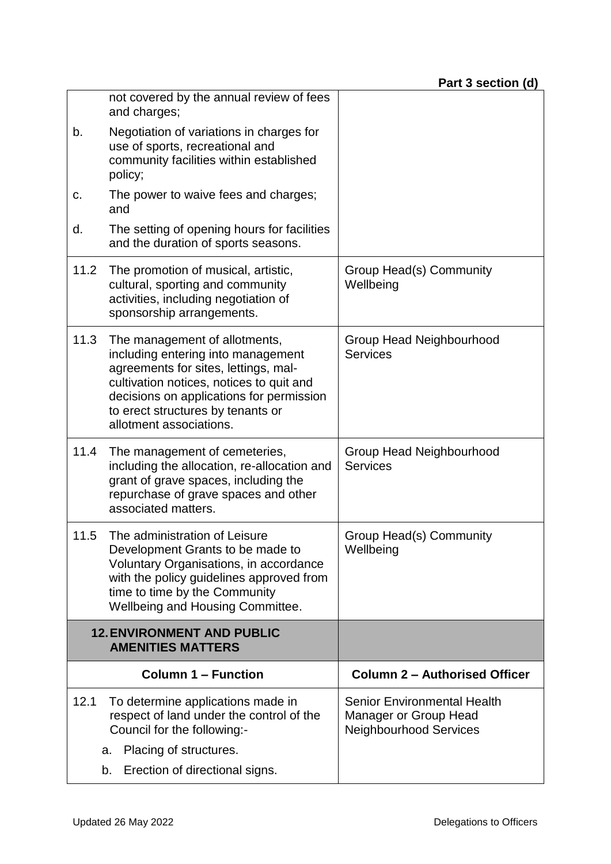|      | not covered by the annual review of fees<br>and charges;                                                                                                                                                                                                            |                                                                                              |
|------|---------------------------------------------------------------------------------------------------------------------------------------------------------------------------------------------------------------------------------------------------------------------|----------------------------------------------------------------------------------------------|
| b.   | Negotiation of variations in charges for<br>use of sports, recreational and<br>community facilities within established<br>policy;                                                                                                                                   |                                                                                              |
| c.   | The power to waive fees and charges;<br>and                                                                                                                                                                                                                         |                                                                                              |
| d.   | The setting of opening hours for facilities<br>and the duration of sports seasons.                                                                                                                                                                                  |                                                                                              |
| 11.2 | The promotion of musical, artistic,<br>cultural, sporting and community<br>activities, including negotiation of<br>sponsorship arrangements.                                                                                                                        | Group Head(s) Community<br>Wellbeing                                                         |
| 11.3 | The management of allotments,<br>including entering into management<br>agreements for sites, lettings, mal-<br>cultivation notices, notices to quit and<br>decisions on applications for permission<br>to erect structures by tenants or<br>allotment associations. | Group Head Neighbourhood<br>Services                                                         |
| 11.4 | The management of cemeteries,<br>including the allocation, re-allocation and<br>grant of grave spaces, including the<br>repurchase of grave spaces and other<br>associated matters.                                                                                 | Group Head Neighbourhood<br><b>Services</b>                                                  |
| 11.5 | The administration of Leisure<br>Development Grants to be made to<br>Voluntary Organisations, in accordance<br>with the policy guidelines approved from<br>time to time by the Community<br>Wellbeing and Housing Committee.                                        | Group Head(s) Community<br>Wellbeing                                                         |
|      | <b>12. ENVIRONMENT AND PUBLIC</b><br><b>AMENITIES MATTERS</b>                                                                                                                                                                                                       |                                                                                              |
|      | <b>Column 1 – Function</b>                                                                                                                                                                                                                                          | <b>Column 2 - Authorised Officer</b>                                                         |
| 12.1 | To determine applications made in<br>respect of land under the control of the<br>Council for the following:-                                                                                                                                                        | <b>Senior Environmental Health</b><br>Manager or Group Head<br><b>Neighbourhood Services</b> |
|      | Placing of structures.<br>a.                                                                                                                                                                                                                                        |                                                                                              |
|      | Erection of directional signs.<br>b.                                                                                                                                                                                                                                |                                                                                              |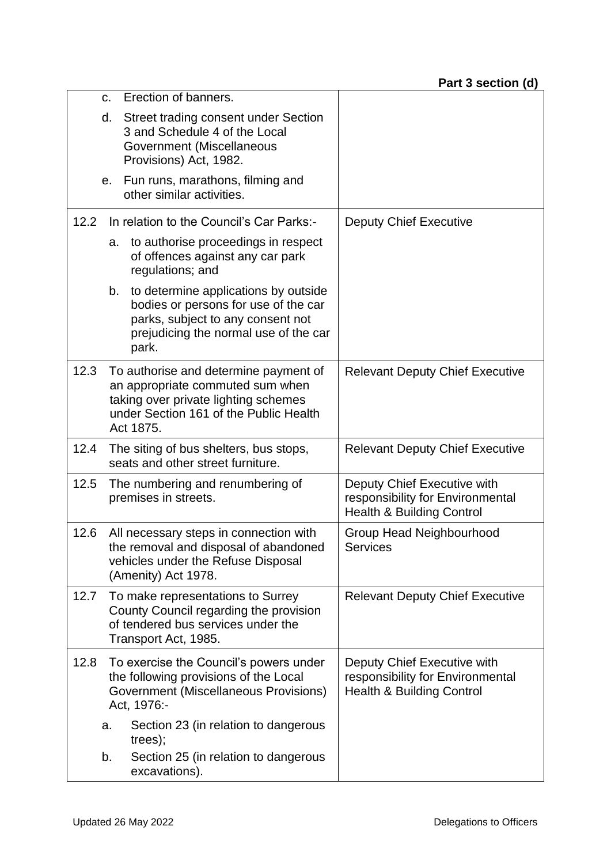| Street trading consent under Section<br>d.<br>3 and Schedule 4 of the Local<br>Government (Miscellaneous<br>Provisions) Act, 1982.<br>Fun runs, marathons, filming and<br>е.<br>other similar activities.<br>12.2<br>In relation to the Council's Car Parks:-<br><b>Deputy Chief Executive</b><br>to authorise proceedings in respect<br>a.<br>of offences against any car park<br>regulations; and<br>to determine applications by outside<br>b.<br>bodies or persons for use of the car<br>parks, subject to any consent not<br>prejudicing the normal use of the car<br>park.<br>12.3<br>To authorise and determine payment of<br><b>Relevant Deputy Chief Executive</b><br>an appropriate commuted sum when<br>taking over private lighting schemes<br>under Section 161 of the Public Health<br>Act 1875.<br>12.4<br>The siting of bus shelters, bus stops,<br><b>Relevant Deputy Chief Executive</b><br>seats and other street furniture.<br>12.5<br>Deputy Chief Executive with<br>The numbering and renumbering of<br>responsibility for Environmental<br>premises in streets.<br><b>Health &amp; Building Control</b><br>12.6<br>All necessary steps in connection with<br>Group Head Neighbourhood<br>the removal and disposal of abandoned<br><b>Services</b><br>vehicles under the Refuse Disposal<br>(Amenity) Act 1978.<br>12.7<br>To make representations to Surrey<br><b>Relevant Deputy Chief Executive</b><br>County Council regarding the provision<br>of tendered bus services under the<br>Transport Act, 1985.<br>12.8<br>To exercise the Council's powers under<br>Deputy Chief Executive with<br>the following provisions of the Local<br>responsibility for Environmental<br>Government (Miscellaneous Provisions)<br>Health & Building Control<br>Act, 1976:-<br>Section 23 (in relation to dangerous<br>a.<br>trees);<br>Section 25 (in relation to dangerous<br>b. | Erection of banners.<br>$C_{\cdot}$ |  |
|------------------------------------------------------------------------------------------------------------------------------------------------------------------------------------------------------------------------------------------------------------------------------------------------------------------------------------------------------------------------------------------------------------------------------------------------------------------------------------------------------------------------------------------------------------------------------------------------------------------------------------------------------------------------------------------------------------------------------------------------------------------------------------------------------------------------------------------------------------------------------------------------------------------------------------------------------------------------------------------------------------------------------------------------------------------------------------------------------------------------------------------------------------------------------------------------------------------------------------------------------------------------------------------------------------------------------------------------------------------------------------------------------------------------------------------------------------------------------------------------------------------------------------------------------------------------------------------------------------------------------------------------------------------------------------------------------------------------------------------------------------------------------------------------------------------------------------------------------------------------------------------------|-------------------------------------|--|
|                                                                                                                                                                                                                                                                                                                                                                                                                                                                                                                                                                                                                                                                                                                                                                                                                                                                                                                                                                                                                                                                                                                                                                                                                                                                                                                                                                                                                                                                                                                                                                                                                                                                                                                                                                                                                                                                                                |                                     |  |
|                                                                                                                                                                                                                                                                                                                                                                                                                                                                                                                                                                                                                                                                                                                                                                                                                                                                                                                                                                                                                                                                                                                                                                                                                                                                                                                                                                                                                                                                                                                                                                                                                                                                                                                                                                                                                                                                                                |                                     |  |
|                                                                                                                                                                                                                                                                                                                                                                                                                                                                                                                                                                                                                                                                                                                                                                                                                                                                                                                                                                                                                                                                                                                                                                                                                                                                                                                                                                                                                                                                                                                                                                                                                                                                                                                                                                                                                                                                                                |                                     |  |
|                                                                                                                                                                                                                                                                                                                                                                                                                                                                                                                                                                                                                                                                                                                                                                                                                                                                                                                                                                                                                                                                                                                                                                                                                                                                                                                                                                                                                                                                                                                                                                                                                                                                                                                                                                                                                                                                                                |                                     |  |
|                                                                                                                                                                                                                                                                                                                                                                                                                                                                                                                                                                                                                                                                                                                                                                                                                                                                                                                                                                                                                                                                                                                                                                                                                                                                                                                                                                                                                                                                                                                                                                                                                                                                                                                                                                                                                                                                                                |                                     |  |
|                                                                                                                                                                                                                                                                                                                                                                                                                                                                                                                                                                                                                                                                                                                                                                                                                                                                                                                                                                                                                                                                                                                                                                                                                                                                                                                                                                                                                                                                                                                                                                                                                                                                                                                                                                                                                                                                                                |                                     |  |
|                                                                                                                                                                                                                                                                                                                                                                                                                                                                                                                                                                                                                                                                                                                                                                                                                                                                                                                                                                                                                                                                                                                                                                                                                                                                                                                                                                                                                                                                                                                                                                                                                                                                                                                                                                                                                                                                                                |                                     |  |
|                                                                                                                                                                                                                                                                                                                                                                                                                                                                                                                                                                                                                                                                                                                                                                                                                                                                                                                                                                                                                                                                                                                                                                                                                                                                                                                                                                                                                                                                                                                                                                                                                                                                                                                                                                                                                                                                                                |                                     |  |
|                                                                                                                                                                                                                                                                                                                                                                                                                                                                                                                                                                                                                                                                                                                                                                                                                                                                                                                                                                                                                                                                                                                                                                                                                                                                                                                                                                                                                                                                                                                                                                                                                                                                                                                                                                                                                                                                                                |                                     |  |
|                                                                                                                                                                                                                                                                                                                                                                                                                                                                                                                                                                                                                                                                                                                                                                                                                                                                                                                                                                                                                                                                                                                                                                                                                                                                                                                                                                                                                                                                                                                                                                                                                                                                                                                                                                                                                                                                                                |                                     |  |
|                                                                                                                                                                                                                                                                                                                                                                                                                                                                                                                                                                                                                                                                                                                                                                                                                                                                                                                                                                                                                                                                                                                                                                                                                                                                                                                                                                                                                                                                                                                                                                                                                                                                                                                                                                                                                                                                                                |                                     |  |
|                                                                                                                                                                                                                                                                                                                                                                                                                                                                                                                                                                                                                                                                                                                                                                                                                                                                                                                                                                                                                                                                                                                                                                                                                                                                                                                                                                                                                                                                                                                                                                                                                                                                                                                                                                                                                                                                                                | excavations).                       |  |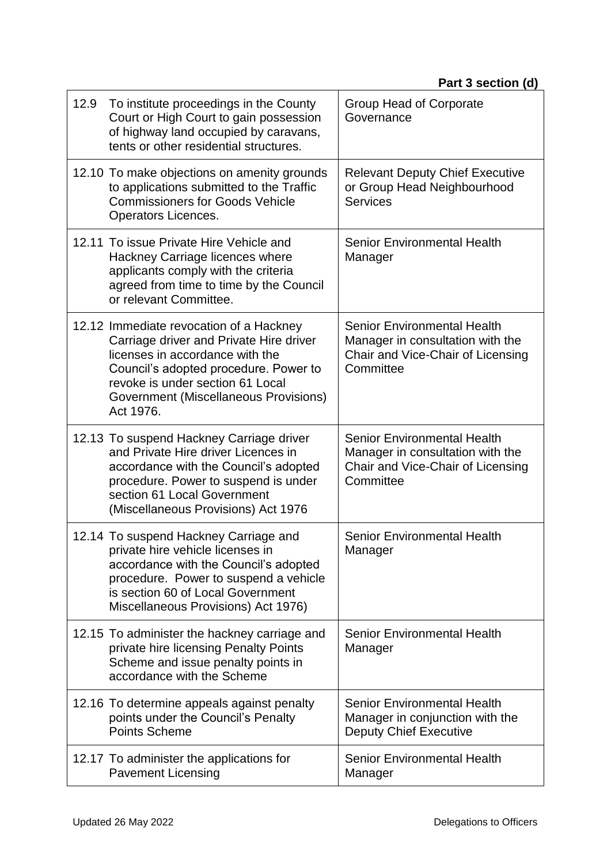| 12.9<br>To institute proceedings in the County<br>Court or High Court to gain possession<br>of highway land occupied by caravans,<br>tents or other residential structures.                                                                              | <b>Group Head of Corporate</b><br>Governance                                                                             |
|----------------------------------------------------------------------------------------------------------------------------------------------------------------------------------------------------------------------------------------------------------|--------------------------------------------------------------------------------------------------------------------------|
| 12.10 To make objections on amenity grounds<br>to applications submitted to the Traffic<br><b>Commissioners for Goods Vehicle</b><br>Operators Licences.                                                                                                 | <b>Relevant Deputy Chief Executive</b><br>or Group Head Neighbourhood<br><b>Services</b>                                 |
| 12.11 To issue Private Hire Vehicle and<br>Hackney Carriage licences where<br>applicants comply with the criteria<br>agreed from time to time by the Council<br>or relevant Committee.                                                                   | <b>Senior Environmental Health</b><br>Manager                                                                            |
| 12.12 Immediate revocation of a Hackney<br>Carriage driver and Private Hire driver<br>licenses in accordance with the<br>Council's adopted procedure. Power to<br>revoke is under section 61 Local<br>Government (Miscellaneous Provisions)<br>Act 1976. | <b>Senior Environmental Health</b><br>Manager in consultation with the<br>Chair and Vice-Chair of Licensing<br>Committee |
| 12.13 To suspend Hackney Carriage driver<br>and Private Hire driver Licences in<br>accordance with the Council's adopted<br>procedure. Power to suspend is under<br>section 61 Local Government<br>(Miscellaneous Provisions) Act 1976                   | <b>Senior Environmental Health</b><br>Manager in consultation with the<br>Chair and Vice-Chair of Licensing<br>Committee |
| 12.14 To suspend Hackney Carriage and<br>private hire vehicle licenses in<br>accordance with the Council's adopted<br>procedure. Power to suspend a vehicle<br>is section 60 of Local Government<br>Miscellaneous Provisions) Act 1976)                  | <b>Senior Environmental Health</b><br>Manager                                                                            |
| 12.15 To administer the hackney carriage and<br>private hire licensing Penalty Points<br>Scheme and issue penalty points in<br>accordance with the Scheme                                                                                                | <b>Senior Environmental Health</b><br>Manager                                                                            |
| 12.16 To determine appeals against penalty<br>points under the Council's Penalty<br><b>Points Scheme</b>                                                                                                                                                 | <b>Senior Environmental Health</b><br>Manager in conjunction with the<br><b>Deputy Chief Executive</b>                   |
| 12.17 To administer the applications for<br><b>Pavement Licensing</b>                                                                                                                                                                                    | <b>Senior Environmental Health</b><br>Manager                                                                            |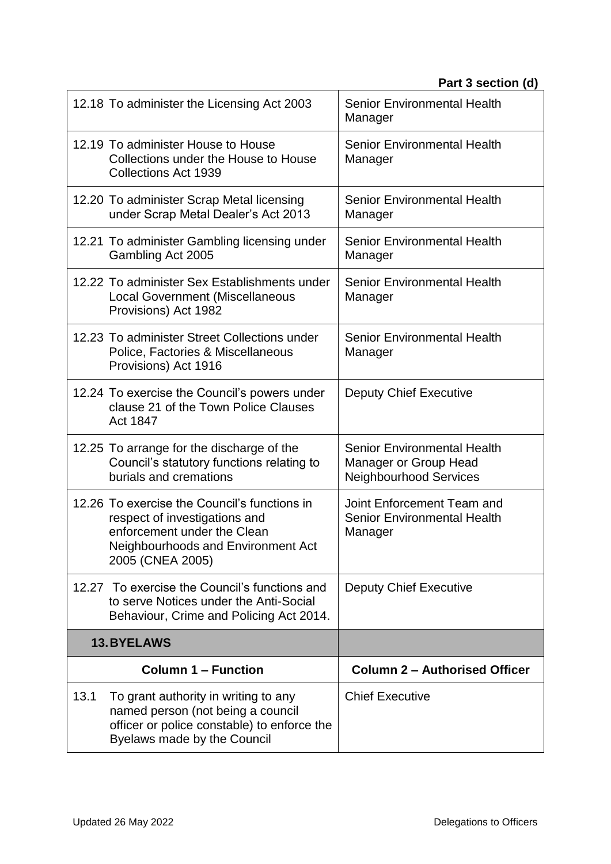|      | 12.18 To administer the Licensing Act 2003                                                                                                                             | <b>Senior Environmental Health</b><br>Manager                                                |
|------|------------------------------------------------------------------------------------------------------------------------------------------------------------------------|----------------------------------------------------------------------------------------------|
|      | 12.19 To administer House to House<br>Collections under the House to House<br><b>Collections Act 1939</b>                                                              | <b>Senior Environmental Health</b><br>Manager                                                |
|      | 12.20 To administer Scrap Metal licensing<br>under Scrap Metal Dealer's Act 2013                                                                                       | <b>Senior Environmental Health</b><br>Manager                                                |
|      | 12.21 To administer Gambling licensing under<br>Gambling Act 2005                                                                                                      | <b>Senior Environmental Health</b><br>Manager                                                |
|      | 12.22 To administer Sex Establishments under<br><b>Local Government (Miscellaneous</b><br>Provisions) Act 1982                                                         | <b>Senior Environmental Health</b><br>Manager                                                |
|      | 12.23 To administer Street Collections under<br>Police, Factories & Miscellaneous<br>Provisions) Act 1916                                                              | Senior Environmental Health<br>Manager                                                       |
|      | 12.24 To exercise the Council's powers under<br>clause 21 of the Town Police Clauses<br>Act 1847                                                                       | <b>Deputy Chief Executive</b>                                                                |
|      | 12.25 To arrange for the discharge of the<br>Council's statutory functions relating to<br>burials and cremations                                                       | <b>Senior Environmental Health</b><br>Manager or Group Head<br><b>Neighbourhood Services</b> |
|      | 12.26 To exercise the Council's functions in<br>respect of investigations and<br>enforcement under the Clean<br>Neighbourhoods and Environment Act<br>2005 (CNEA 2005) | Joint Enforcement Team and<br><b>Senior Environmental Health</b><br>Manager                  |
|      | 12.27 To exercise the Council's functions and<br>to serve Notices under the Anti-Social<br>Behaviour, Crime and Policing Act 2014.                                     | <b>Deputy Chief Executive</b>                                                                |
|      | <b>13.BYELAWS</b>                                                                                                                                                      |                                                                                              |
|      | <b>Column 1 - Function</b>                                                                                                                                             | <b>Column 2 - Authorised Officer</b>                                                         |
| 13.1 | To grant authority in writing to any<br>named person (not being a council<br>officer or police constable) to enforce the<br>Byelaws made by the Council                | <b>Chief Executive</b>                                                                       |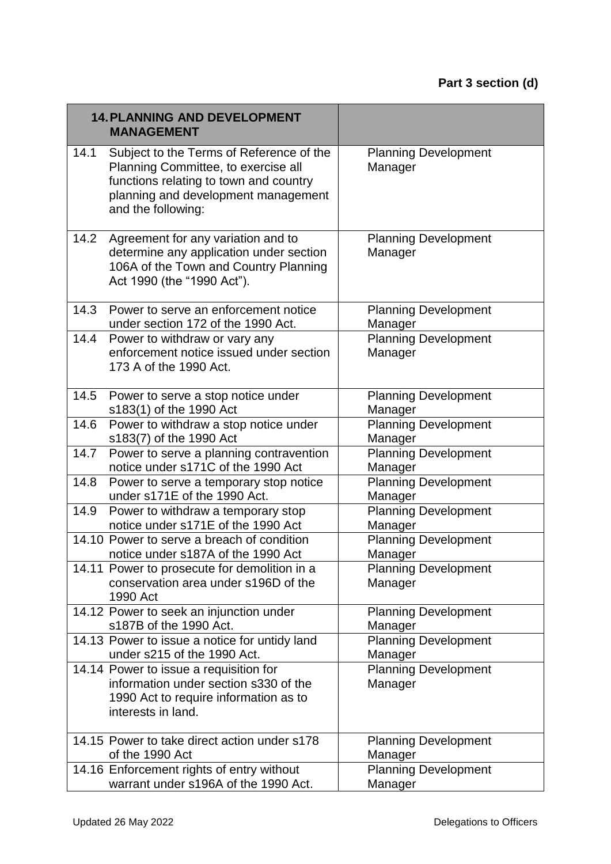|      | <b>14. PLANNING AND DEVELOPMENT</b><br><b>MANAGEMENT</b>                                                                                                                               |                                        |
|------|----------------------------------------------------------------------------------------------------------------------------------------------------------------------------------------|----------------------------------------|
| 14.1 | Subject to the Terms of Reference of the<br>Planning Committee, to exercise all<br>functions relating to town and country<br>planning and development management<br>and the following: | <b>Planning Development</b><br>Manager |
| 14.2 | Agreement for any variation and to<br>determine any application under section<br>106A of the Town and Country Planning<br>Act 1990 (the "1990 Act").                                   | <b>Planning Development</b><br>Manager |
| 14.3 | Power to serve an enforcement notice<br>under section 172 of the 1990 Act.                                                                                                             | <b>Planning Development</b><br>Manager |
| 14.4 | Power to withdraw or vary any<br>enforcement notice issued under section<br>173 A of the 1990 Act.                                                                                     | <b>Planning Development</b><br>Manager |
| 14.5 | Power to serve a stop notice under<br>s183(1) of the 1990 Act                                                                                                                          | <b>Planning Development</b><br>Manager |
| 14.6 | Power to withdraw a stop notice under<br>s183(7) of the 1990 Act                                                                                                                       | <b>Planning Development</b><br>Manager |
| 14.7 | Power to serve a planning contravention<br>notice under s171C of the 1990 Act                                                                                                          | <b>Planning Development</b><br>Manager |
| 14.8 | Power to serve a temporary stop notice<br>under s171E of the 1990 Act.                                                                                                                 | <b>Planning Development</b><br>Manager |
| 14.9 | Power to withdraw a temporary stop<br>notice under s171E of the 1990 Act                                                                                                               | <b>Planning Development</b><br>Manager |
|      | 14.10 Power to serve a breach of condition<br>notice under s187A of the 1990 Act                                                                                                       | <b>Planning Development</b><br>Manager |
|      | 14.11 Power to prosecute for demolition in a<br>conservation area under s196D of the<br>1990 Act                                                                                       | <b>Planning Development</b><br>Manager |
|      | 14.12 Power to seek an injunction under<br>s187B of the 1990 Act.                                                                                                                      | <b>Planning Development</b><br>Manager |
|      | 14.13 Power to issue a notice for untidy land<br>under s215 of the 1990 Act.                                                                                                           | <b>Planning Development</b><br>Manager |
|      | 14.14 Power to issue a requisition for<br>information under section s330 of the<br>1990 Act to require information as to<br>interests in land.                                         | <b>Planning Development</b><br>Manager |
|      | 14.15 Power to take direct action under s178<br>of the 1990 Act                                                                                                                        | <b>Planning Development</b><br>Manager |
|      | 14.16 Enforcement rights of entry without<br>warrant under s196A of the 1990 Act.                                                                                                      | <b>Planning Development</b><br>Manager |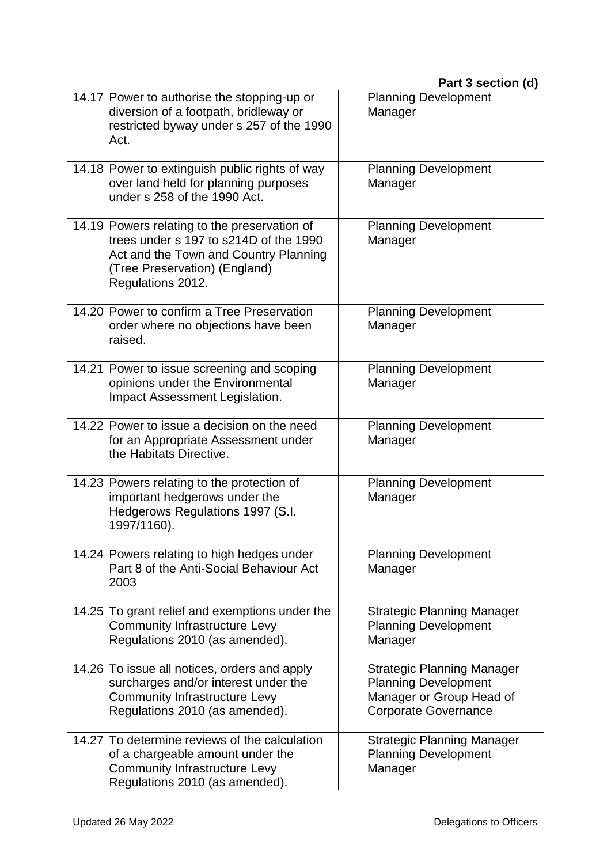|  | 14.17 Power to authorise the stopping-up or<br>diversion of a footpath, bridleway or<br>restricted byway under s 257 of the 1990<br>Act.                                              | <b>Planning Development</b><br>Manager                                                                                      |
|--|---------------------------------------------------------------------------------------------------------------------------------------------------------------------------------------|-----------------------------------------------------------------------------------------------------------------------------|
|  | 14.18 Power to extinguish public rights of way<br>over land held for planning purposes<br>under s 258 of the 1990 Act.                                                                | <b>Planning Development</b><br>Manager                                                                                      |
|  | 14.19 Powers relating to the preservation of<br>trees under s 197 to s214D of the 1990<br>Act and the Town and Country Planning<br>(Tree Preservation) (England)<br>Regulations 2012. | <b>Planning Development</b><br>Manager                                                                                      |
|  | 14.20 Power to confirm a Tree Preservation<br>order where no objections have been<br>raised.                                                                                          | <b>Planning Development</b><br>Manager                                                                                      |
|  | 14.21 Power to issue screening and scoping<br>opinions under the Environmental<br>Impact Assessment Legislation.                                                                      | <b>Planning Development</b><br>Manager                                                                                      |
|  | 14.22 Power to issue a decision on the need<br>for an Appropriate Assessment under<br>the Habitats Directive.                                                                         | <b>Planning Development</b><br>Manager                                                                                      |
|  | 14.23 Powers relating to the protection of<br>important hedgerows under the<br>Hedgerows Regulations 1997 (S.I.<br>1997/1160).                                                        | <b>Planning Development</b><br>Manager                                                                                      |
|  | 14.24 Powers relating to high hedges under<br>Part 8 of the Anti-Social Behaviour Act<br>2003                                                                                         | <b>Planning Development</b><br>Manager                                                                                      |
|  | 14.25 To grant relief and exemptions under the<br><b>Community Infrastructure Levy</b><br>Regulations 2010 (as amended).                                                              | <b>Strategic Planning Manager</b><br><b>Planning Development</b><br>Manager                                                 |
|  | 14.26 To issue all notices, orders and apply<br>surcharges and/or interest under the<br><b>Community Infrastructure Levy</b><br>Regulations 2010 (as amended).                        | <b>Strategic Planning Manager</b><br><b>Planning Development</b><br>Manager or Group Head of<br><b>Corporate Governance</b> |
|  | 14.27 To determine reviews of the calculation<br>of a chargeable amount under the<br>Community Infrastructure Levy<br>Regulations 2010 (as amended).                                  | <b>Strategic Planning Manager</b><br><b>Planning Development</b><br>Manager                                                 |